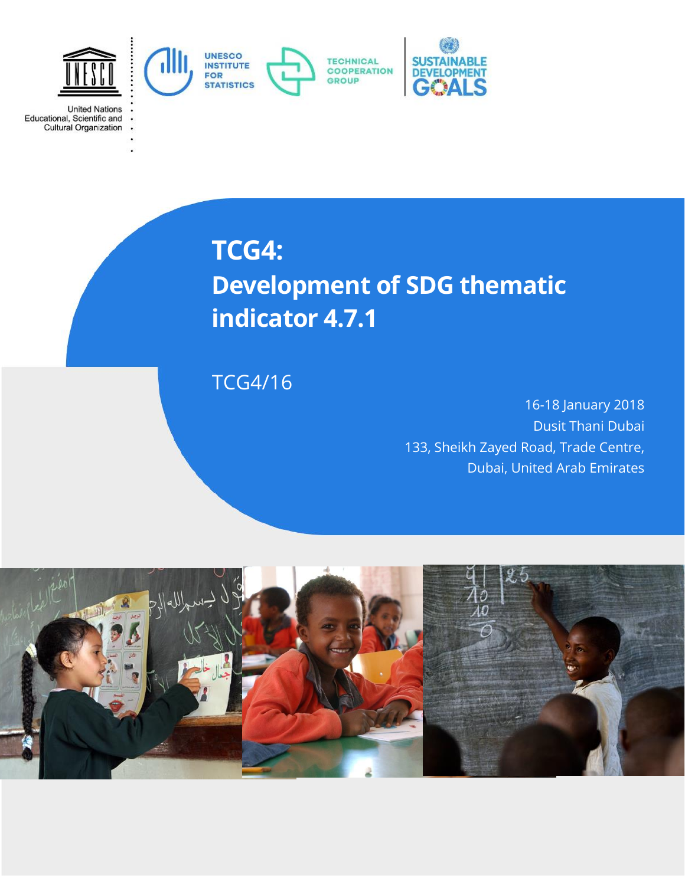

**United Nations** 

Educational, Scientific and<br>Cultural Organization

**TCG4: Development of SDG thematic indicator 4.7.1**

# TCG4/16

16-18 January 2018 Dusit Thani Dubai 133, Sheikh Zayed Road, Trade Centre, Dubai, United Arab Emirates

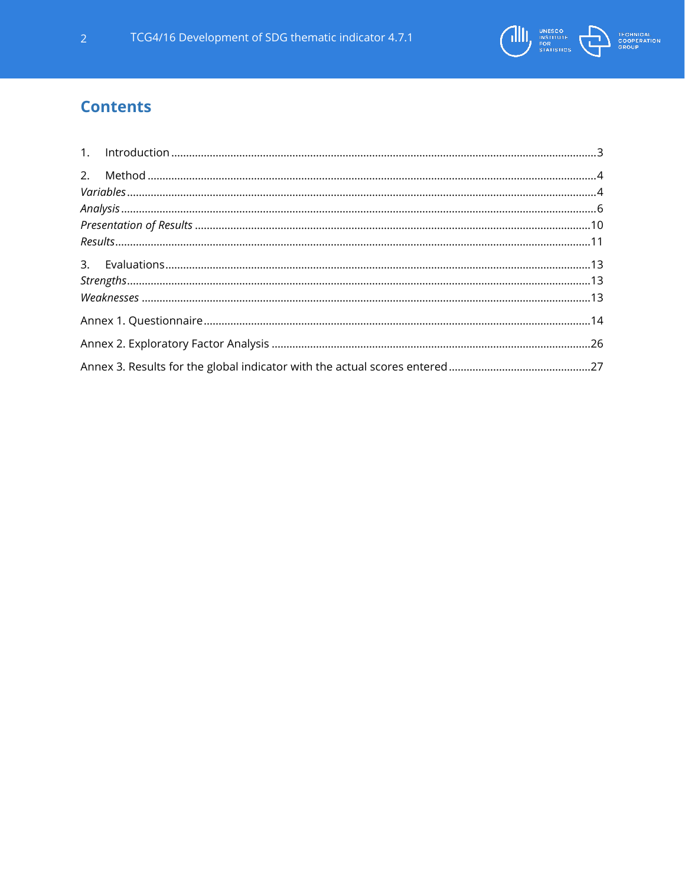

# **Contents**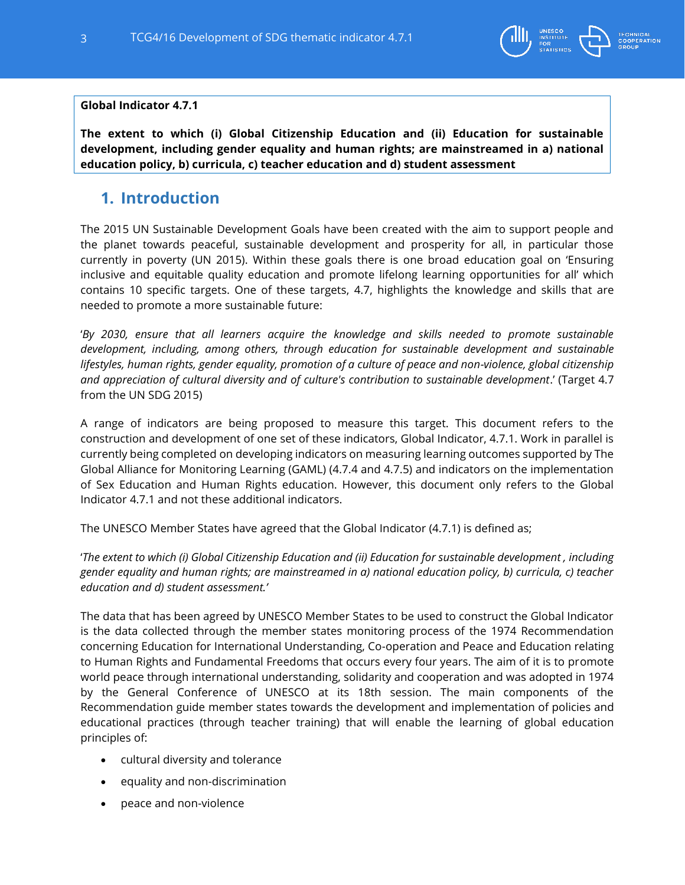

## **Global Indicator 4.7.1**

**The extent to which (i) Global Citizenship Education and (ii) Education for sustainable development, including gender equality and human rights; are mainstreamed in a) national education policy, b) curricula, c) teacher education and d) student assessment**

# <span id="page-2-0"></span>**1. Introduction**

The 2015 UN Sustainable Development Goals have been created with the aim to support people and the planet towards peaceful, sustainable development and prosperity for all, in particular those currently in poverty (UN 2015). Within these goals there is one broad education goal on 'Ensuring inclusive and equitable quality education and promote lifelong learning opportunities for all' which contains 10 specific targets. One of these targets, 4.7, highlights the knowledge and skills that are needed to promote a more sustainable future:

'By 2030, ensure that all learners acquire the knowledge and skills needed to promote sustainable *development, including, among others, through education for sustainable development and sustainable lifestyles, human rights, gender equality, promotion of a culture of peace and non-violence, global citizenship and appreciation of cultural diversity and of culture's contribution to sustainable development*.' (Target 4.7 from the UN SDG 2015)

A range of indicators are being proposed to measure this target. This document refers to the construction and development of one set of these indicators, Global Indicator, 4.7.1. Work in parallel is currently being completed on developing indicators on measuring learning outcomes supported by The Global Alliance for Monitoring Learning (GAML) (4.7.4 and 4.7.5) and indicators on the implementation of Sex Education and Human Rights education. However, this document only refers to the Global Indicator 4.7.1 and not these additional indicators.

The UNESCO Member States have agreed that the Global Indicator (4.7.1) is defined as;

'*The extent to which (i) Global Citizenship Education and (ii) Education for sustainable development , including gender equality and human rights; are mainstreamed in a) national education policy, b) curricula, c) teacher education and d) student assessment.'*

The data that has been agreed by UNESCO Member States to be used to construct the Global Indicator is the data collected through the member states monitoring process of the 1974 Recommendation concerning Education for International Understanding, Co-operation and Peace and Education relating to Human Rights and Fundamental Freedoms that occurs every four years. The aim of it is to promote world peace through international understanding, solidarity and cooperation and was adopted in 1974 by the General Conference of UNESCO at its 18th session. The main components of the Recommendation guide member states towards the development and implementation of policies and educational practices (through teacher training) that will enable the learning of global education principles of:

- cultural diversity and tolerance
- equality and non-discrimination
- peace and non-violence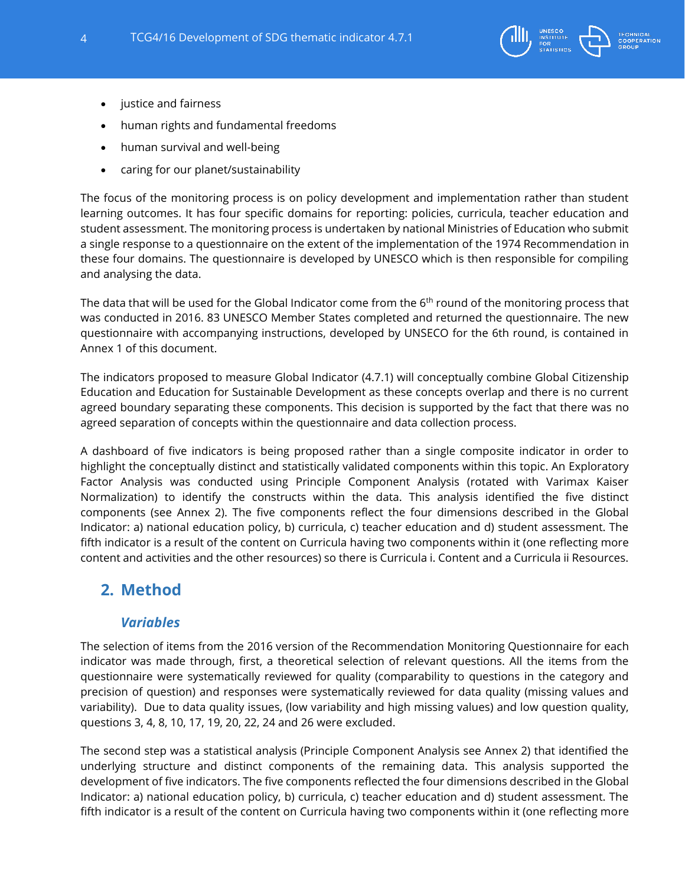

- justice and fairness
- human rights and fundamental freedoms
- human survival and well-being
- caring for our planet/sustainability

The focus of the monitoring process is on policy development and implementation rather than student learning outcomes. It has four specific domains for reporting: policies, curricula, teacher education and student assessment. The monitoring process is undertaken by national Ministries of Education who submit a single response to a questionnaire on the extent of the implementation of the 1974 Recommendation in these four domains. The questionnaire is developed by UNESCO which is then responsible for compiling and analysing the data.

The data that will be used for the Global Indicator come from the  $6<sup>th</sup>$  round of the monitoring process that was conducted in 2016. 83 UNESCO Member States completed and returned the questionnaire. The new questionnaire with accompanying instructions, developed by UNSECO for the 6th round, is contained in Annex 1 of this document.

The indicators proposed to measure Global Indicator (4.7.1) will conceptually combine Global Citizenship Education and Education for Sustainable Development as these concepts overlap and there is no current agreed boundary separating these components. This decision is supported by the fact that there was no agreed separation of concepts within the questionnaire and data collection process.

A dashboard of five indicators is being proposed rather than a single composite indicator in order to highlight the conceptually distinct and statistically validated components within this topic. An Exploratory Factor Analysis was conducted using Principle Component Analysis (rotated with Varimax Kaiser Normalization) to identify the constructs within the data. This analysis identified the five distinct components (see Annex 2). The five components reflect the four dimensions described in the Global Indicator: a) national education policy, b) curricula, c) teacher education and d) student assessment. The fifth indicator is a result of the content on Curricula having two components within it (one reflecting more content and activities and the other resources) so there is Curricula i. Content and a Curricula ii Resources.

# <span id="page-3-1"></span><span id="page-3-0"></span>**2. Method**

# *Variables*

The selection of items from the 2016 version of the Recommendation Monitoring Questionnaire for each indicator was made through, first, a theoretical selection of relevant questions. All the items from the questionnaire were systematically reviewed for quality (comparability to questions in the category and precision of question) and responses were systematically reviewed for data quality (missing values and variability). Due to data quality issues, (low variability and high missing values) and low question quality, questions 3, 4, 8, 10, 17, 19, 20, 22, 24 and 26 were excluded.

The second step was a statistical analysis (Principle Component Analysis see Annex 2) that identified the underlying structure and distinct components of the remaining data. This analysis supported the development of five indicators. The five components reflected the four dimensions described in the Global Indicator: a) national education policy, b) curricula, c) teacher education and d) student assessment. The fifth indicator is a result of the content on Curricula having two components within it (one reflecting more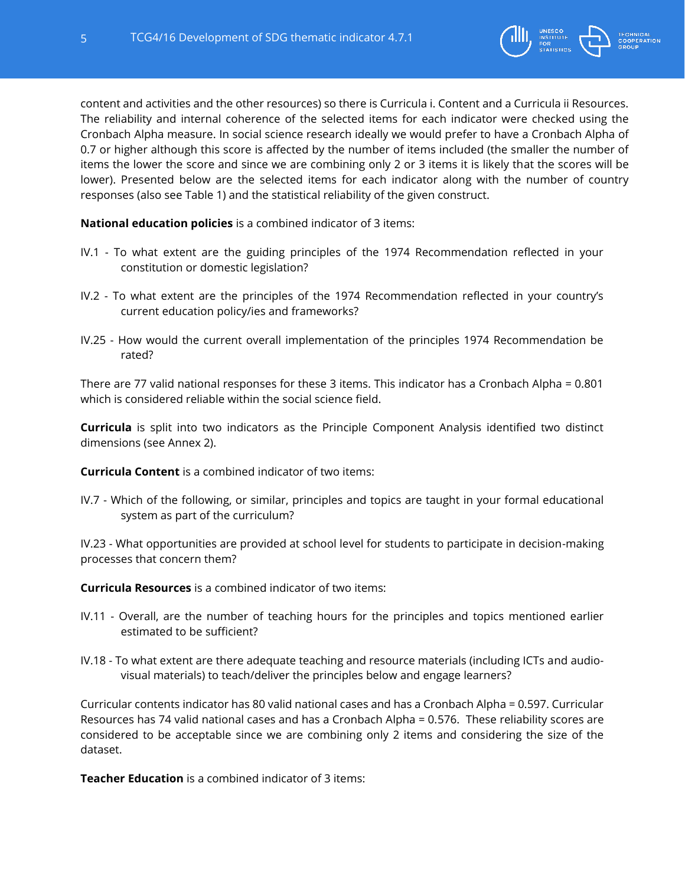

content and activities and the other resources) so there is Curricula i. Content and a Curricula ii Resources. The reliability and internal coherence of the selected items for each indicator were checked using the Cronbach Alpha measure. In social science research ideally we would prefer to have a Cronbach Alpha of 0.7 or higher although this score is affected by the number of items included (the smaller the number of items the lower the score and since we are combining only 2 or 3 items it is likely that the scores will be lower). Presented below are the selected items for each indicator along with the number of country responses (also see Table 1) and the statistical reliability of the given construct.

**National education policies** is a combined indicator of 3 items:

- IV.1 To what extent are the guiding principles of the 1974 Recommendation reflected in your constitution or domestic legislation?
- IV.2 To what extent are the principles of the 1974 Recommendation reflected in your country's current education policy/ies and frameworks?
- IV.25 How would the current overall implementation of the principles 1974 Recommendation be rated?

There are 77 valid national responses for these 3 items. This indicator has a Cronbach Alpha = 0.801 which is considered reliable within the social science field.

**Curricula** is split into two indicators as the Principle Component Analysis identified two distinct dimensions (see Annex 2).

**Curricula Content** is a combined indicator of two items:

IV.7 - Which of the following, or similar, principles and topics are taught in your formal educational system as part of the curriculum?

IV.23 - What opportunities are provided at school level for students to participate in decision-making processes that concern them?

**Curricula Resources** is a combined indicator of two items:

- IV.11 Overall, are the number of teaching hours for the principles and topics mentioned earlier estimated to be sufficient?
- IV.18 To what extent are there adequate teaching and resource materials (including ICTs and audiovisual materials) to teach/deliver the principles below and engage learners?

Curricular contents indicator has 80 valid national cases and has a Cronbach Alpha = 0.597. Curricular Resources has 74 valid national cases and has a Cronbach Alpha = 0.576. These reliability scores are considered to be acceptable since we are combining only 2 items and considering the size of the dataset.

**Teacher Education** is a combined indicator of 3 items: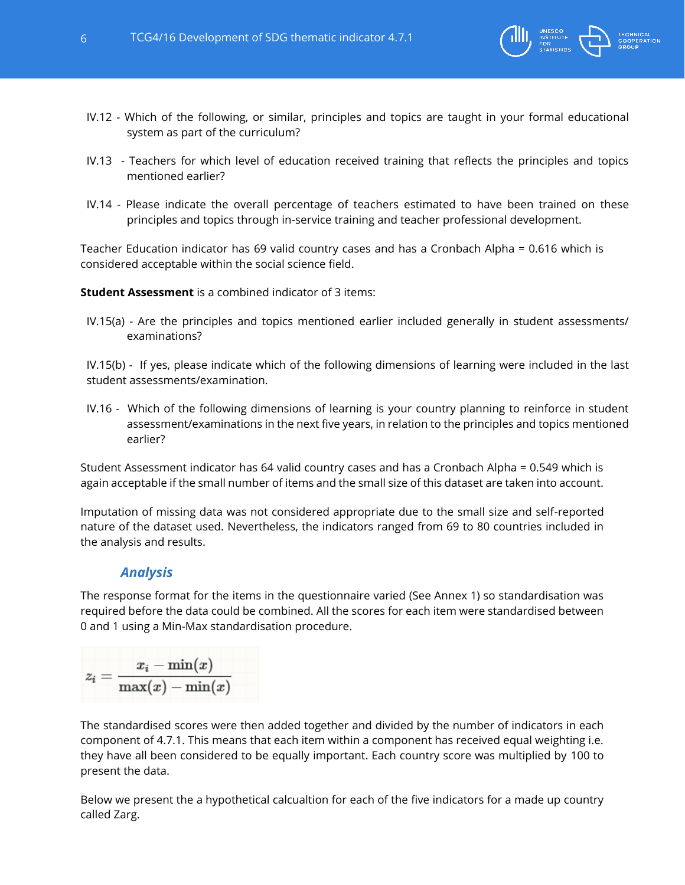

- IV.12 Which of the following, or similar, principles and topics are taught in your formal educational system as part of the curriculum?
- IV.13 Teachers for which level of education received training that reflects the principles and topics mentioned earlier?
- IV.14 Please indicate the overall percentage of teachers estimated to have been trained on these principles and topics through in-service training and teacher professional development.

Teacher Education indicator has 69 valid country cases and has a Cronbach Alpha = 0.616 which is considered acceptable within the social science field.

**Student Assessment** is a combined indicator of 3 items:

IV.15(a) - Are the principles and topics mentioned earlier included generally in student assessments/ examinations?

IV.15(b) - If yes, please indicate which of the following dimensions of learning were included in the last student assessments/examination.

IV.16 - Which of the following dimensions of learning is your country planning to reinforce in student assessment/examinations in the next five years, in relation to the principles and topics mentioned earlier?

Student Assessment indicator has 64 valid country cases and has a Cronbach Alpha = 0.549 which is again acceptable if the small number of items and the small size of this dataset are taken into account.

Imputation of missing data was not considered appropriate due to the small size and self-reported nature of the dataset used. Nevertheless, the indicators ranged from 69 to 80 countries included in the analysis and results.

# *Analysis*

<span id="page-5-0"></span>The response format for the items in the questionnaire varied (See Annex 1) so standardisation was required before the data could be combined. All the scores for each item were standardised between 0 and 1 using a Min-Max standardisation procedure.

$$
z_i = \frac{x_i - \min(x)}{\max(x) - \min(x)}
$$

The standardised scores were then added together and divided by the number of indicators in each component of 4.7.1. This means that each item within a component has received equal weighting i.e. they have all been considered to be equally important. Each country score was multiplied by 100 to present the data.

Below we present the a hypothetical calcualtion for each of the five indicators for a made up country called Zarg.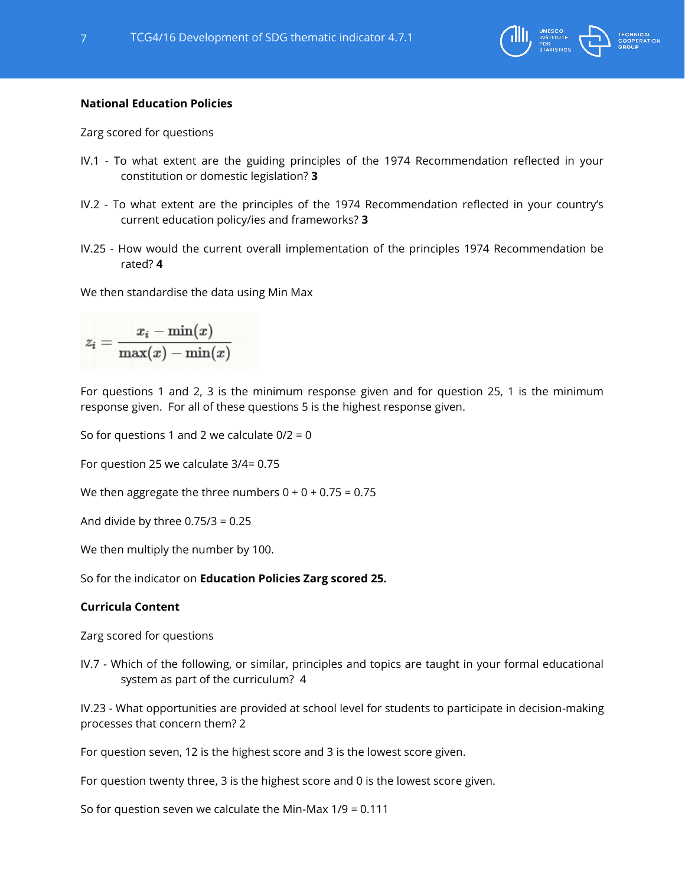

## **National Education Policies**

Zarg scored for questions

- IV.1 To what extent are the guiding principles of the 1974 Recommendation reflected in your constitution or domestic legislation? **3**
- IV.2 To what extent are the principles of the 1974 Recommendation reflected in your country's current education policy/ies and frameworks? **3**
- IV.25 How would the current overall implementation of the principles 1974 Recommendation be rated? **4**

We then standardise the data using Min Max

$$
z_i = \frac{x_i - \min(x)}{\max(x) - \min(x)}
$$

For questions 1 and 2, 3 is the minimum response given and for question 25, 1 is the minimum response given. For all of these questions 5 is the highest response given.

So for questions 1 and 2 we calculate  $0/2 = 0$ 

For question 25 we calculate 3/4= 0.75

We then aggregate the three numbers  $0 + 0 + 0.75 = 0.75$ 

And divide by three  $0.75/3 = 0.25$ 

We then multiply the number by 100.

So for the indicator on **Education Policies Zarg scored 25.**

## **Curricula Content**

Zarg scored for questions

IV.7 - Which of the following, or similar, principles and topics are taught in your formal educational system as part of the curriculum? 4

IV.23 - What opportunities are provided at school level for students to participate in decision-making processes that concern them? 2

For question seven, 12 is the highest score and 3 is the lowest score given.

For question twenty three, 3 is the highest score and 0 is the lowest score given.

So for question seven we calculate the Min-Max 1/9 = 0.111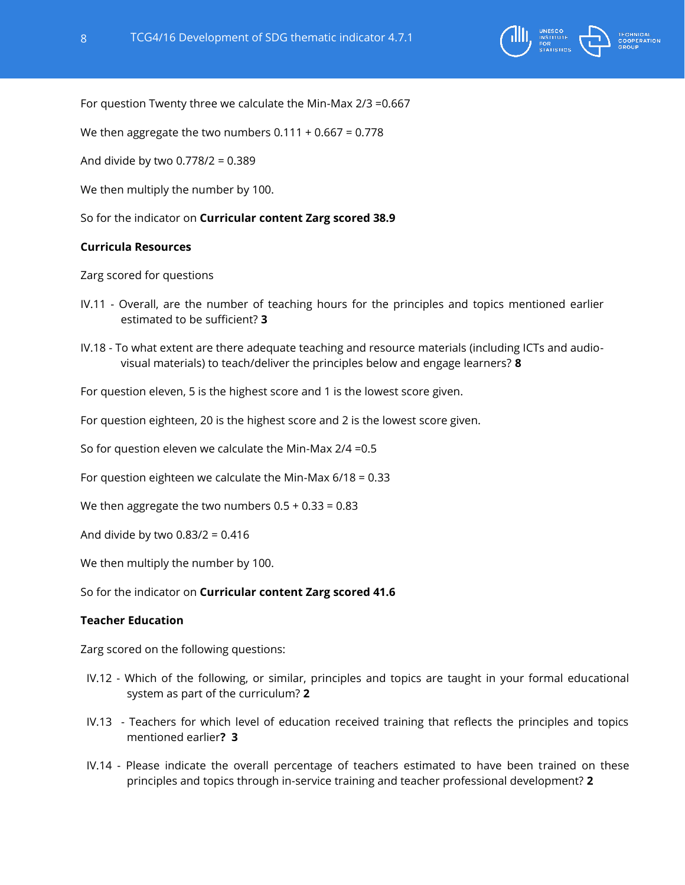

For question Twenty three we calculate the Min-Max 2/3 =0.667

We then aggregate the two numbers  $0.111 + 0.667 = 0.778$ 

And divide by two 0.778/2 = 0.389

We then multiply the number by 100.

So for the indicator on **Curricular content Zarg scored 38.9**

## **Curricula Resources**

Zarg scored for questions

- IV.11 Overall, are the number of teaching hours for the principles and topics mentioned earlier estimated to be sufficient? **3**
- IV.18 To what extent are there adequate teaching and resource materials (including ICTs and audiovisual materials) to teach/deliver the principles below and engage learners? **8**

For question eleven, 5 is the highest score and 1 is the lowest score given.

For question eighteen, 20 is the highest score and 2 is the lowest score given.

So for question eleven we calculate the Min-Max 2/4 =0.5

For question eighteen we calculate the Min-Max 6/18 = 0.33

We then aggregate the two numbers  $0.5 + 0.33 = 0.83$ 

And divide by two 0.83/2 = 0.416

We then multiply the number by 100.

So for the indicator on **Curricular content Zarg scored 41.6**

## **Teacher Education**

Zarg scored on the following questions:

- IV.12 Which of the following, or similar, principles and topics are taught in your formal educational system as part of the curriculum? **2**
- IV.13 Teachers for which level of education received training that reflects the principles and topics mentioned earlier**? 3**
- IV.14 Please indicate the overall percentage of teachers estimated to have been trained on these principles and topics through in-service training and teacher professional development? **2**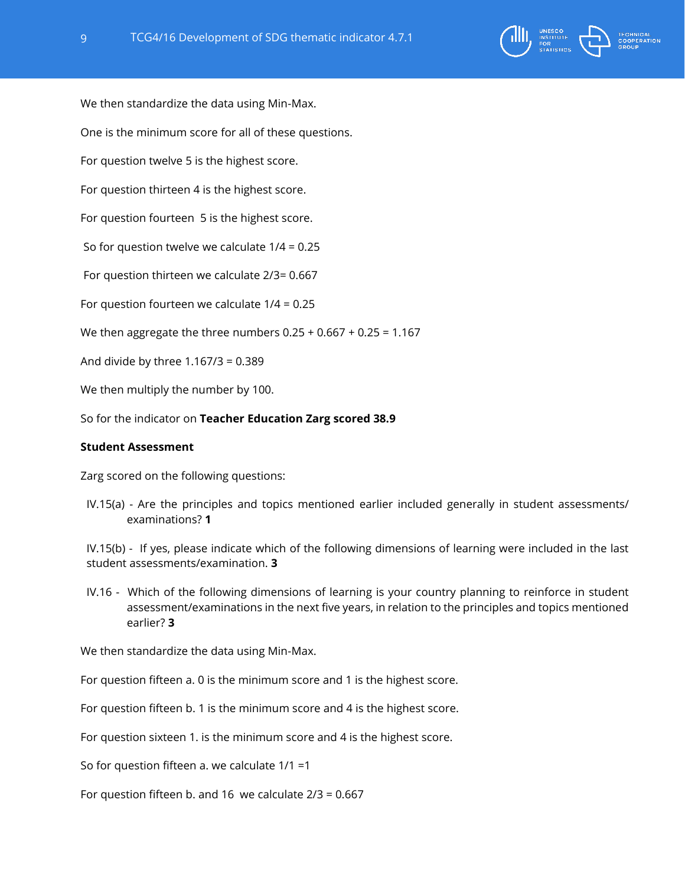



We then standardize the data using Min-Max.

One is the minimum score for all of these questions.

For question twelve 5 is the highest score.

For question thirteen 4 is the highest score.

For question fourteen 5 is the highest score.

So for question twelve we calculate 1/4 = 0.25

For question thirteen we calculate 2/3= 0.667

For question fourteen we calculate 1/4 = 0.25

We then aggregate the three numbers  $0.25 + 0.667 + 0.25 = 1.167$ 

And divide by three 1.167/3 = 0.389

We then multiply the number by 100.

So for the indicator on **Teacher Education Zarg scored 38.9**

## **Student Assessment**

Zarg scored on the following questions:

IV.15(a) - Are the principles and topics mentioned earlier included generally in student assessments/ examinations? **1**

IV.15(b) - If yes, please indicate which of the following dimensions of learning were included in the last student assessments/examination. **3**

IV.16 - Which of the following dimensions of learning is your country planning to reinforce in student assessment/examinations in the next five years, in relation to the principles and topics mentioned earlier? **3**

We then standardize the data using Min-Max.

For question fifteen a. 0 is the minimum score and 1 is the highest score.

For question fifteen b. 1 is the minimum score and 4 is the highest score.

For question sixteen 1. is the minimum score and 4 is the highest score.

So for question fifteen a. we calculate 1/1 =1

For question fifteen b. and 16 we calculate 2/3 = 0.667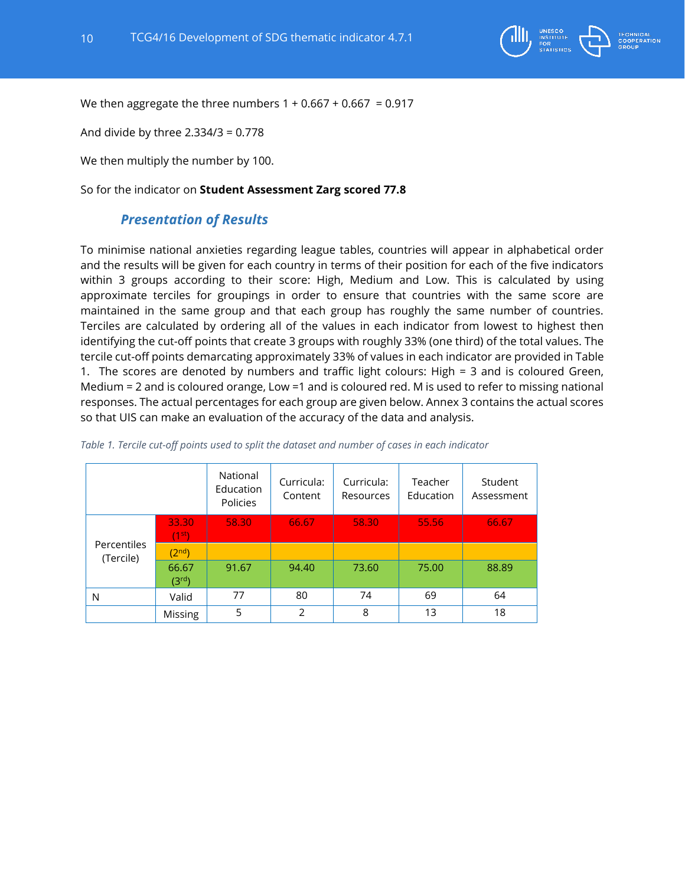

We then aggregate the three numbers  $1 + 0.667 + 0.667 = 0.917$ 

And divide by three 2.334/3 = 0.778

We then multiply the number by 100.

<span id="page-9-0"></span>So for the indicator on **Student Assessment Zarg scored 77.8**

# *Presentation of Results*

To minimise national anxieties regarding league tables, countries will appear in alphabetical order and the results will be given for each country in terms of their position for each of the five indicators within 3 groups according to their score: High, Medium and Low. This is calculated by using approximate terciles for groupings in order to ensure that countries with the same score are maintained in the same group and that each group has roughly the same number of countries. Terciles are calculated by ordering all of the values in each indicator from lowest to highest then identifying the cut-off points that create 3 groups with roughly 33% (one third) of the total values. The tercile cut-off points demarcating approximately 33% of values in each indicator are provided in Table 1. The scores are denoted by numbers and traffic light colours: High = 3 and is coloured Green, Medium = 2 and is coloured orange, Low =1 and is coloured red. M is used to refer to missing national responses. The actual percentages for each group are given below. Annex 3 contains the actual scores so that UIS can make an evaluation of the accuracy of the data and analysis.

|                          |                             | National<br>Education<br>Policies | Curricula:<br>Content | Curricula:<br>Resources | Teacher<br>Education | Student<br>Assessment |
|--------------------------|-----------------------------|-----------------------------------|-----------------------|-------------------------|----------------------|-----------------------|
|                          | 33.30<br>(1 <sup>st</sup> ) | 58.30                             | 66.67                 | 58.30                   | 55.56                | 66.67                 |
| Percentiles<br>(Tercile) | (2 <sup>nd</sup> )          |                                   |                       |                         |                      |                       |
|                          | 66.67<br>(3 <sup>rd</sup> ) | 91.67                             | 94.40                 | 73.60                   | 75.00                | 88.89                 |
| N                        | Valid                       | 77                                | 80                    | 74                      | 69                   | 64                    |
|                          | Missing                     | 5                                 | $\mathcal{P}$         | 8                       | 13                   | 18                    |

#### *Table 1. Tercile cut-off points used to split the dataset and number of cases in each indicator*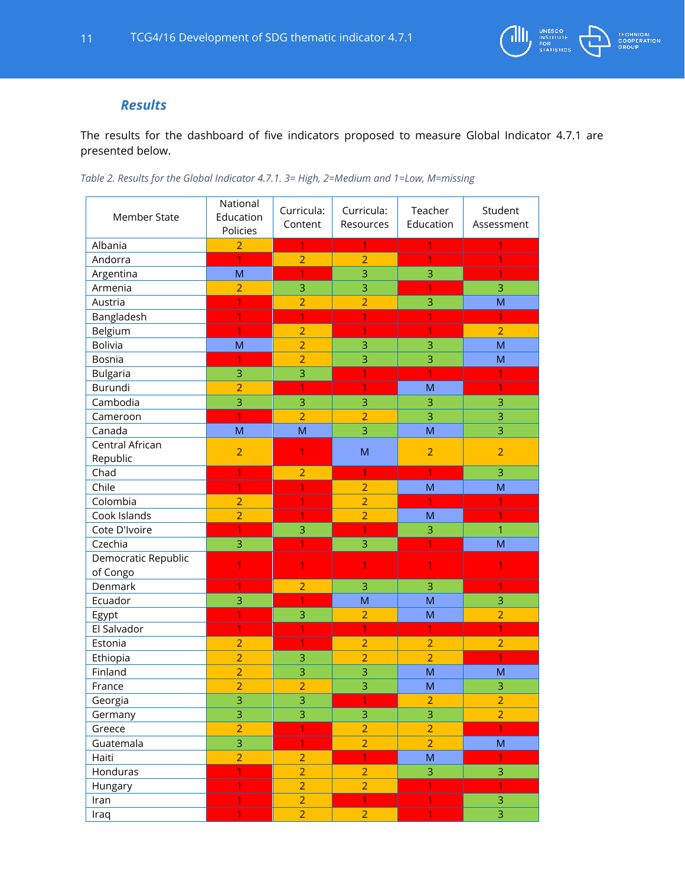

# *Results*

<span id="page-10-0"></span>The results for the dashboard of five indicators proposed to measure Global Indicator 4.7.1 are presented below.

| <b>Member State</b> | National<br>Education<br>Policies | Curricula:<br>Content | Curricula:<br>Resources          | Teacher<br>Education             | Student<br>Assessment            |
|---------------------|-----------------------------------|-----------------------|----------------------------------|----------------------------------|----------------------------------|
| Albania             | $\overline{2}$                    | $\overline{1}$        | $\mathbf{1}$                     | $\mathbf{1}$                     | 1                                |
| Andorra             | $\overline{1}$                    | $\overline{2}$        | $\overline{2}$                   | $\mathbf{1}$                     |                                  |
| Argentina           | M                                 | $\mathbf{1}$          | 3                                | 3                                |                                  |
| Armenia             | $\overline{2}$                    | 3                     | 3                                | 1                                | 3                                |
| Austria             | 1                                 | $\overline{2}$        | $\overline{2}$                   | 3                                | M                                |
| Bangladesh          | 1                                 | 1                     | $\overline{1}$                   | 1                                | 1                                |
| Belgium             | $\overline{1}$                    | $\overline{2}$        | $\overline{1}$                   | 1                                | $\overline{2}$                   |
| <b>Bolivia</b>      | M                                 | $\overline{2}$        | 3                                | 3                                | M                                |
| Bosnia              | 1                                 | $\overline{2}$        | 3                                | 3                                | M                                |
| <b>Bulgaria</b>     | 3                                 | $\overline{3}$        | 1                                | $\overline{1}$                   |                                  |
| Burundi             | $\overline{2}$                    | 1                     | $\overline{1}$                   | M                                | 1                                |
| Cambodia            | 3                                 | 3                     | 3                                | 3                                | 3                                |
| Cameroon            | $\overline{1}$                    | $\overline{2}$        | $\overline{2}$                   | 3                                | 3                                |
| Canada              | M                                 | M                     | 3                                | M                                | 3                                |
| Central African     |                                   |                       |                                  |                                  |                                  |
| Republic            | $\overline{2}$                    | $\mathbf{1}$          | M                                | $\overline{2}$                   | $\overline{2}$                   |
| Chad                | 1                                 | $\overline{2}$        | 1                                | 1                                | 3                                |
| Chile               | 1                                 | 1                     | $\overline{2}$                   | M                                | M                                |
| Colombia            | $\overline{2}$                    | 1                     | $\overline{2}$                   | 1                                |                                  |
| Cook Islands        | $\overline{2}$                    | 1                     | $\overline{2}$                   | M                                | 1                                |
| Cote D'Ivoire       | 1                                 | 3                     | 1                                | 3                                | 1                                |
| Czechia             | 3                                 | 1                     | 3                                | 1                                | M                                |
| Democratic Republic |                                   |                       |                                  |                                  |                                  |
| of Congo            | 1                                 | 1                     | 1                                | 1                                | 1                                |
| Denmark             | 1                                 | $\overline{2}$        | 3                                | 3                                | $\mathbf{1}$                     |
| Ecuador             | 3                                 | 1                     | M                                | M                                | 3                                |
| Egypt               | 1                                 | 3                     | $\overline{2}$                   | M                                | $\overline{2}$                   |
| El Salvador         | 1                                 | 1                     | 1                                | 1                                | 1                                |
| Estonia             | $\overline{2}$                    | 1                     |                                  |                                  | $\overline{2}$                   |
| Ethiopia            | $\overline{2}$                    | 3                     | $\overline{2}$<br>$\overline{2}$ | $\overline{2}$<br>$\overline{2}$ | 1                                |
| Finland             | $\overline{2}$                    | 3                     | 3                                | M                                | M                                |
| France              | $\overline{2}$                    | $\overline{2}$        | 3                                | M                                | 3                                |
|                     | 3                                 |                       | 1                                |                                  |                                  |
| Georgia             | $\overline{3}$                    | $\frac{3}{3}$         |                                  | $\overline{2}$<br>$\overline{3}$ | $\overline{2}$<br>$\overline{2}$ |
| Germany             | $\overline{2}$                    | $\overline{1}$        | $\mathsf 3$<br>$\overline{2}$    | $\overline{2}$                   | $\overline{1}$                   |
| Greece              |                                   |                       |                                  |                                  |                                  |
| Guatemala           | 3                                 | $\mathbf{1}$          | $\overline{2}$                   | $\overline{2}$                   | ${\sf M}$                        |
| Haiti               | $\overline{2}$                    | $\overline{2}$        | $\overline{1}$                   | M                                | $\mathbf{1}$                     |
| Honduras            | $\mathbf{1}$                      | $\overline{2}$        | $\overline{2}$                   | 3                                | 3                                |
| Hungary             | $\mathbf{1}$                      | $\overline{2}$        | $\overline{2}$                   | $\mathbf{1}$                     | $\mathbf{1}$                     |
| Iran                | $\overline{1}$                    | $\overline{2}$        | $\overline{1}$                   | $\overline{1}$                   | $\overline{\mathbf{3}}$          |
| Iraq                | $\overline{1}$                    | $\overline{2}$        | $\overline{2}$                   | 1                                | 3                                |

*Table 2. Results for the Global Indicator 4.7.1. 3= High, 2=Medium and 1=Low, M=missing*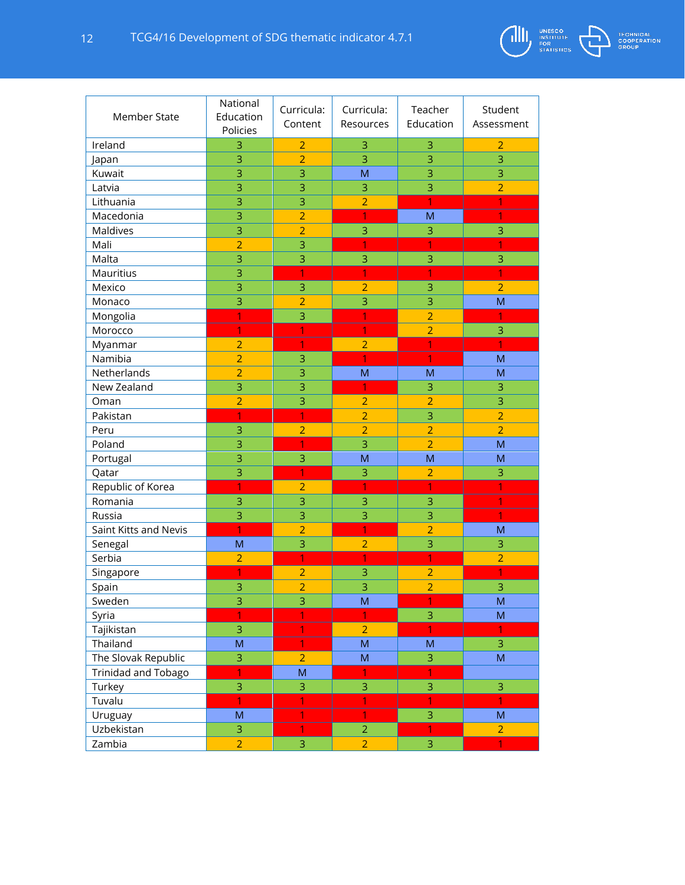

| Member State          | National<br>Education<br>Policies | Curricula:<br>Content | Curricula:<br>Resources | Teacher<br>Education | Student<br>Assessment |
|-----------------------|-----------------------------------|-----------------------|-------------------------|----------------------|-----------------------|
| Ireland               | 3                                 | $\overline{2}$        | 3                       | 3                    | $\overline{2}$        |
| Japan                 | 3                                 | $\overline{2}$        | $\overline{3}$          | 3                    | 3                     |
| Kuwait                | 3                                 | 3                     | M                       | 3                    | 3                     |
| Latvia                | 3                                 | 3                     | 3                       | 3                    | $\overline{2}$        |
| Lithuania             | 3                                 | 3                     | $\overline{2}$          | 1                    | 1                     |
| Macedonia             | 3                                 | $\overline{2}$        | 1                       | M                    | 1                     |
| <b>Maldives</b>       | 3                                 | $\overline{2}$        | 3                       | 3                    | 3                     |
| Mali                  | $\overline{2}$                    | 3                     | 1                       | 1                    | 1                     |
| Malta                 | 3                                 | 3                     | 3                       | 3                    | 3                     |
| Mauritius             | 3                                 | 1                     | 1                       | 1                    | 1                     |
| Mexico                | 3                                 | 3                     | $\overline{2}$          | 3                    | $\overline{2}$        |
| Monaco                | 3                                 | $\overline{2}$        | 3                       | 3                    | M                     |
| Mongolia              | 1                                 | 3                     | 1                       | $\overline{2}$       | 1                     |
| Morocco               | 1                                 | 1                     | 1                       | $\overline{2}$       | 3                     |
| Myanmar               | $\overline{2}$                    | 1                     | $\overline{2}$          | 1                    | 1                     |
| Namibia               | $\overline{2}$                    | 3                     | 1                       | 1                    | M                     |
| Netherlands           | $\overline{2}$                    | 3                     | M                       | M                    | M                     |
| New Zealand           | 3                                 | 3                     |                         | 3                    | 3                     |
| Oman                  | $\overline{2}$                    | 3                     | $\overline{2}$          | $\overline{2}$       | 3                     |
| Pakistan              | 1                                 | 1                     | $\overline{2}$          | 3                    | $\overline{2}$        |
| Peru                  | 3                                 | $\overline{2}$        | $\overline{2}$          | $\overline{2}$       | $\overline{2}$        |
| Poland                | 3                                 | 1                     | 3                       | $\overline{2}$       | M                     |
| Portugal              | 3                                 | 3                     | M                       | M                    | M                     |
| Qatar                 | 3                                 | 1                     | 3                       | $\overline{2}$       | 3                     |
| Republic of Korea     | 1                                 | $\overline{2}$        | 1                       | 1                    | 1                     |
| Romania               | 3                                 | 3                     | 3                       | 3                    | 1                     |
| Russia                | 3                                 | 3                     | 3                       | 3                    | 1                     |
| Saint Kitts and Nevis | 1                                 | $\overline{2}$        | 1                       | $\overline{2}$       | M                     |
| Senegal               | M                                 | $\overline{3}$        | $\overline{2}$          | 3                    | 3                     |
| Serbia                | $\overline{2}$                    | 1                     | 1                       | 1                    | $\overline{2}$        |
| Singapore             |                                   | $\overline{2}$        | 3                       | $\overline{2}$       |                       |
| Spain                 | 3                                 | $\overline{2}$        | 3                       | $\overline{2}$       | 3                     |
| Sweden                | 3                                 | 3                     | M                       | 1                    | ${\sf M}$             |
| Syria                 | 1                                 | $\overline{1}$        |                         | 3                    | M                     |
| Tajikistan            | 3                                 | 1                     | $\overline{2}$          | 1                    | 1                     |
| Thailand              | ${\sf M}$                         | 1                     | ${\sf M}$               | ${\sf M}$            | 3                     |
| The Slovak Republic   | 3                                 | $\overline{2}$        | ${\sf M}$               | 3                    | ${\sf M}$             |
| Trinidad and Tobago   | $\overline{1}$                    | M                     | 1                       | $\mathbf{1}$         |                       |
| Turkey                | 3                                 | 3                     | 3                       | 3                    | $\overline{3}$        |
| Tuvalu                | $\overline{1}$                    | 1                     | 1                       | $\mathbf{1}$         | $\mathbf{1}$          |
| Uruguay               | ${\sf M}$                         | 1                     | 1                       | 3                    | M                     |
| Uzbekistan            | 3                                 | $\overline{1}$        | $\overline{2}$          | 1                    | $\overline{2}$        |
| Zambia                | $\overline{2}$                    | $\overline{3}$        | $\overline{2}$          | 3                    | 1                     |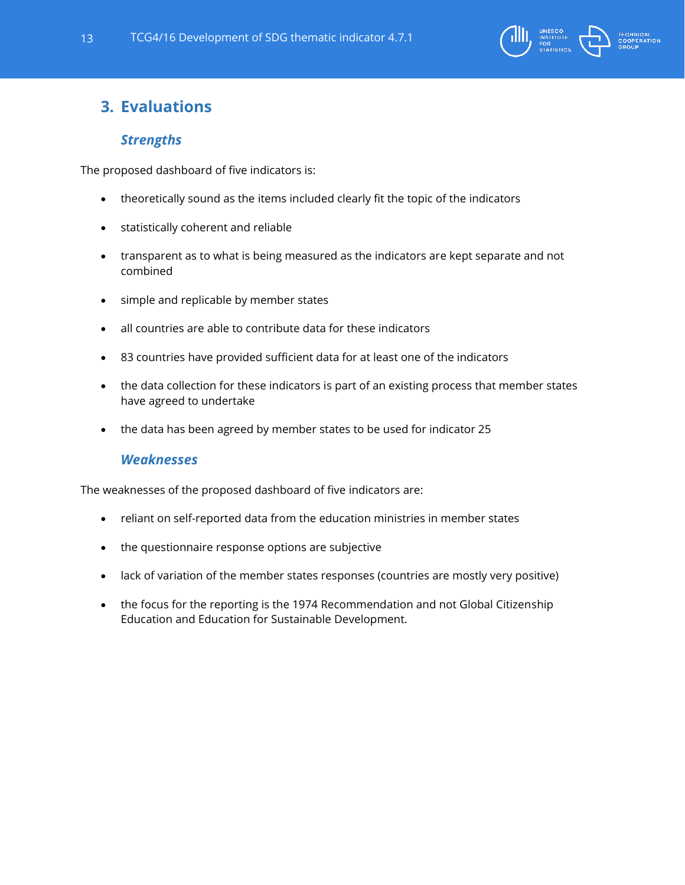

# <span id="page-12-1"></span><span id="page-12-0"></span>**3. Evaluations**

# *Strengths*

The proposed dashboard of five indicators is:

- theoretically sound as the items included clearly fit the topic of the indicators
- statistically coherent and reliable
- transparent as to what is being measured as the indicators are kept separate and not combined
- simple and replicable by member states
- all countries are able to contribute data for these indicators
- 83 countries have provided sufficient data for at least one of the indicators
- the data collection for these indicators is part of an existing process that member states have agreed to undertake
- <span id="page-12-2"></span>• the data has been agreed by member states to be used for indicator 25

# *Weaknesses*

The weaknesses of the proposed dashboard of five indicators are:

- reliant on self-reported data from the education ministries in member states
- the questionnaire response options are subjective
- lack of variation of the member states responses (countries are mostly very positive)
- the focus for the reporting is the 1974 Recommendation and not Global Citizenship Education and Education for Sustainable Development.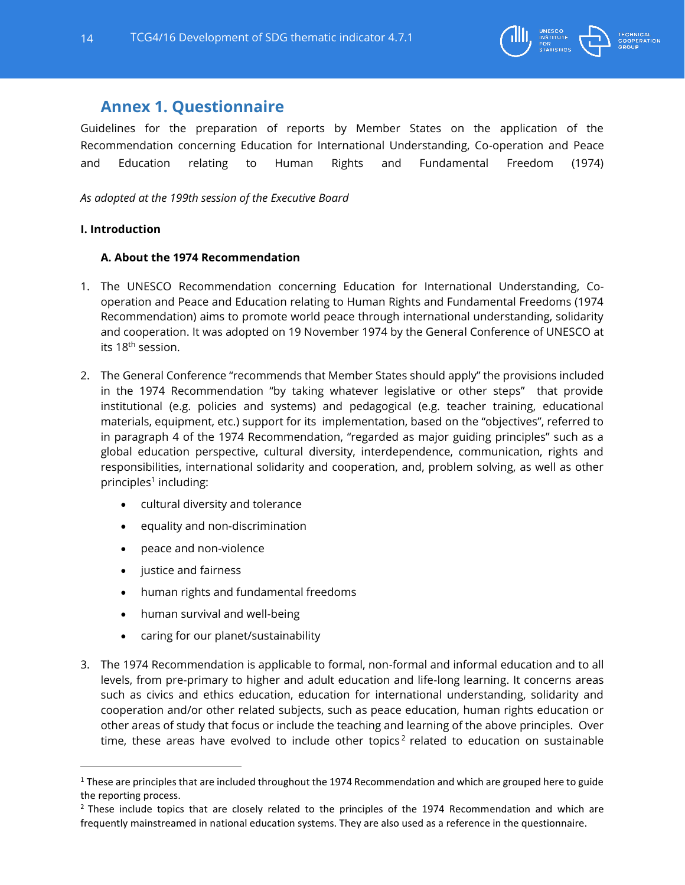

# <span id="page-13-0"></span>**Annex 1. Questionnaire**

Guidelines for the preparation of reports by Member States on the application of the Recommendation concerning Education for International Understanding, Co-operation and Peace and Education relating to Human Rights and Fundamental Freedom (1974)

*As adopted at the 199th session of the Executive Board*

## **I. Introduction**

# **A. About the 1974 Recommendation**

- 1. The UNESCO Recommendation concerning Education for International Understanding, Cooperation and Peace and Education relating to Human Rights and Fundamental Freedoms (1974 Recommendation) aims to promote world peace through international understanding, solidarity and cooperation. It was adopted on 19 November 1974 by the General Conference of UNESCO at its 18<sup>th</sup> session.
- 2. The General Conference "recommends that Member States should apply" the provisions included in the 1974 Recommendation "by taking whatever legislative or other steps" that provide institutional (e.g. policies and systems) and pedagogical (e.g. teacher training, educational materials, equipment, etc.) support for its implementation, based on the "objectives", referred to in paragraph 4 of the 1974 Recommendation, "regarded as major guiding principles" such as a global education perspective, cultural diversity, interdependence, communication, rights and responsibilities, international solidarity and cooperation, and, problem solving, as well as other principles<sup>1</sup> including:
	- cultural diversity and tolerance
	- equality and non-discrimination
	- peace and non-violence
	- justice and fairness

 $\overline{a}$ 

- human rights and fundamental freedoms
- human survival and well-being
- caring for our planet/sustainability
- 3. The 1974 Recommendation is applicable to formal, non-formal and informal education and to all levels, from pre-primary to higher and adult education and life-long learning. It concerns areas such as civics and ethics education, education for international understanding, solidarity and cooperation and/or other related subjects, such as peace education, human rights education or other areas of study that focus or include the teaching and learning of the above principles. Over time, these areas have evolved to include other topics<sup>2</sup> related to education on sustainable

 $1$  These are principles that are included throughout the 1974 Recommendation and which are grouped here to guide the reporting process.

<sup>&</sup>lt;sup>2</sup> These include topics that are closely related to the principles of the 1974 Recommendation and which are frequently mainstreamed in national education systems. They are also used as a reference in the questionnaire.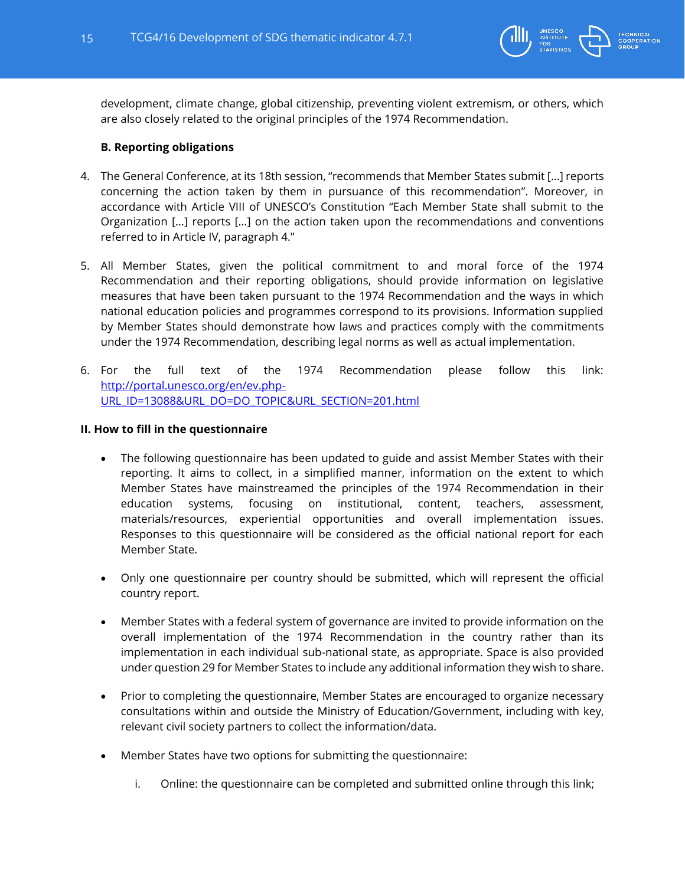

development, climate change, global citizenship, preventing violent extremism, or others, which are also closely related to the original principles of the 1974 Recommendation.

# **B. Reporting obligations**

- 4. The General Conference, at its 18th session, "recommends that Member States submit […] reports concerning the action taken by them in pursuance of this recommendation". Moreover, in accordance with Article VIII of UNESCO's Constitution "Each Member State shall submit to the Organization […] reports […] on the action taken upon the recommendations and conventions referred to in Article IV, paragraph 4."
- 5. All Member States, given the political commitment to and moral force of the 1974 Recommendation and their reporting obligations, should provide information on legislative measures that have been taken pursuant to the 1974 Recommendation and the ways in which national education policies and programmes correspond to its provisions. Information supplied by Member States should demonstrate how laws and practices comply with the commitments under the 1974 Recommendation, describing legal norms as well as actual implementation.
- 6. For the full text of the 1974 Recommendation please follow this link: [http://portal.unesco.org/en/ev.php-](http://portal.unesco.org/en/ev.php-URL_ID=13088&URL_DO=DO_TOPIC&URL_SECTION=201.html)[URL\\_ID=13088&URL\\_DO=DO\\_TOPIC&URL\\_SECTION=201.html](http://portal.unesco.org/en/ev.php-URL_ID=13088&URL_DO=DO_TOPIC&URL_SECTION=201.html)

## **II. How to fill in the questionnaire**

- The following questionnaire has been updated to guide and assist Member States with their reporting. It aims to collect, in a simplified manner, information on the extent to which Member States have mainstreamed the principles of the 1974 Recommendation in their education systems, focusing on institutional, content, teachers, assessment, materials/resources, experiential opportunities and overall implementation issues. Responses to this questionnaire will be considered as the official national report for each Member State.
- Only one questionnaire per country should be submitted, which will represent the official country report.
- Member States with a federal system of governance are invited to provide information on the overall implementation of the 1974 Recommendation in the country rather than its implementation in each individual sub-national state, as appropriate. Space is also provided under question 29 for Member States to include any additional information they wish to share.
- Prior to completing the questionnaire, Member States are encouraged to organize necessary consultations within and outside the Ministry of Education/Government, including with key, relevant civil society partners to collect the information/data.
- Member States have two options for submitting the questionnaire:
	- i. Online: the questionnaire can be completed and submitted online through this link;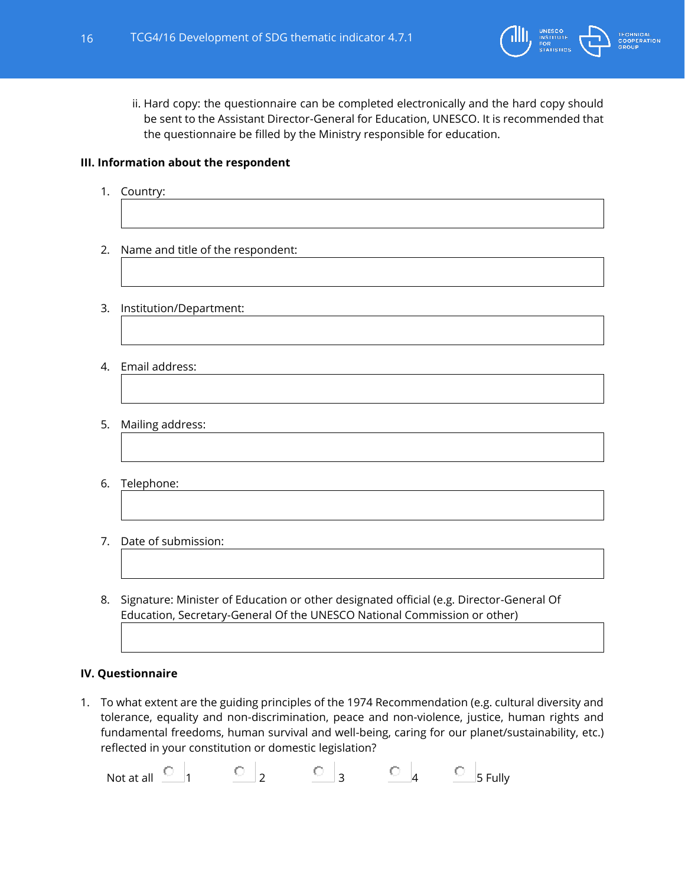

ii. Hard copy: the questionnaire can be completed electronically and the hard copy should be sent to the Assistant Director-General for Education, UNESCO. It is recommended that the questionnaire be filled by the Ministry responsible for education.

# **III. Information about the respondent**

- 1. Country:
- 2. Name and title of the respondent:
- 3. Institution/Department:
- 4. Email address:
- 5. Mailing address:
- 6. Telephone:
- 7. Date of submission:
- 8. Signature: Minister of Education or other designated official (e.g. Director-General Of Education, Secretary-General Of the UNESCO National Commission or other)

## **IV. Questionnaire**

1. To what extent are the guiding principles of the 1974 Recommendation (e.g. cultural diversity and tolerance, equality and non-discrimination, peace and non-violence, justice, human rights and fundamental freedoms, human survival and well-being, caring for our planet/sustainability, etc.) reflected in your constitution or domestic legislation?

Not at all  $\begin{array}{ccc} \circ & \circ & \circ & \circ \\ 1 & \circ & \circ & \circ \end{array}$   $\begin{array}{ccc} \circ & \circ & \circ & \circ \\ \circ & \circ & \circ & \circ \end{array}$   $\begin{array}{ccc} \circ & \circ & \circ & \circ \\ \circ & \circ & \circ & \circ \end{array}$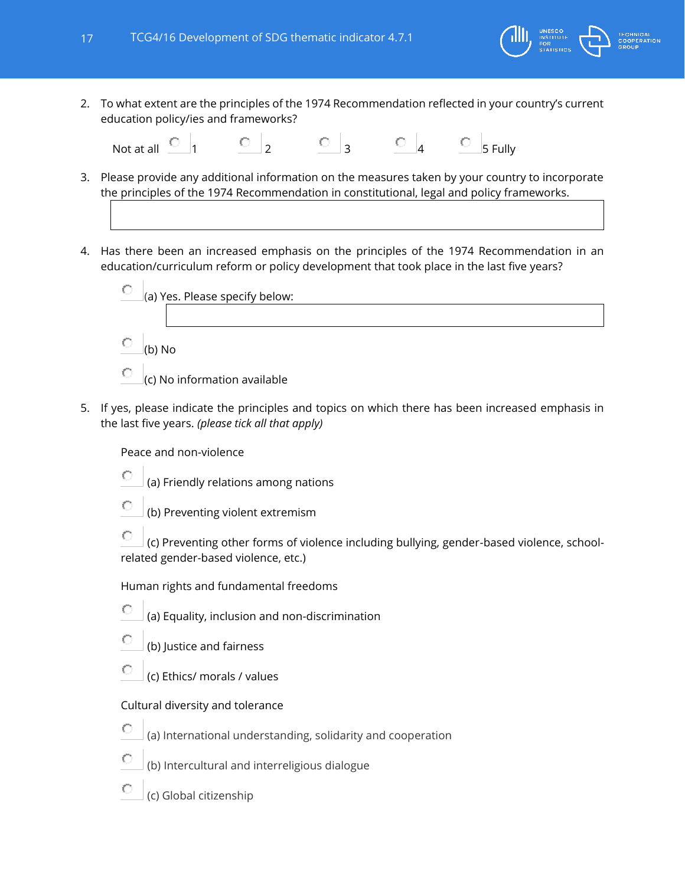

Not at all  $\begin{array}{ccc} \circ & & \circ & \\ 1 & & \circ & 2 \\ 1 & & \circ & 3 \end{array}$   $\begin{array}{ccc} \circ & & \circ & \\ \circ & & \circ & \\ 3 & & \circ & 4 \\ 3 & & \circ & 5 \end{array}$  Fully

- 3. Please provide any additional information on the measures taken by your country to incorporate the principles of the 1974 Recommendation in constitutional, legal and policy frameworks.
- 4. Has there been an increased emphasis on the principles of the 1974 Recommendation in an education/curriculum reform or policy development that took place in the last five years?



- (c) No information available
- 5. If yes, please indicate the principles and topics on which there has been increased emphasis in the last five years. *(please tick all that apply)*

Peace and non-violence

- О (a) Friendly relations among nations
- О (b) Preventing violent extremism

О (c) Preventing other forms of violence including bullying, gender-based violence, schoolrelated gender-based violence, etc.)

Human rights and fundamental freedoms

- O (a) Equality, inclusion and non-discrimination
- С (b) Justice and fairness
- О (c) Ethics/ morals / values

## Cultural diversity and tolerance

- O (a) International understanding, solidarity and cooperation
- С (b) Intercultural and interreligious dialogue
- O (c) Global citizenship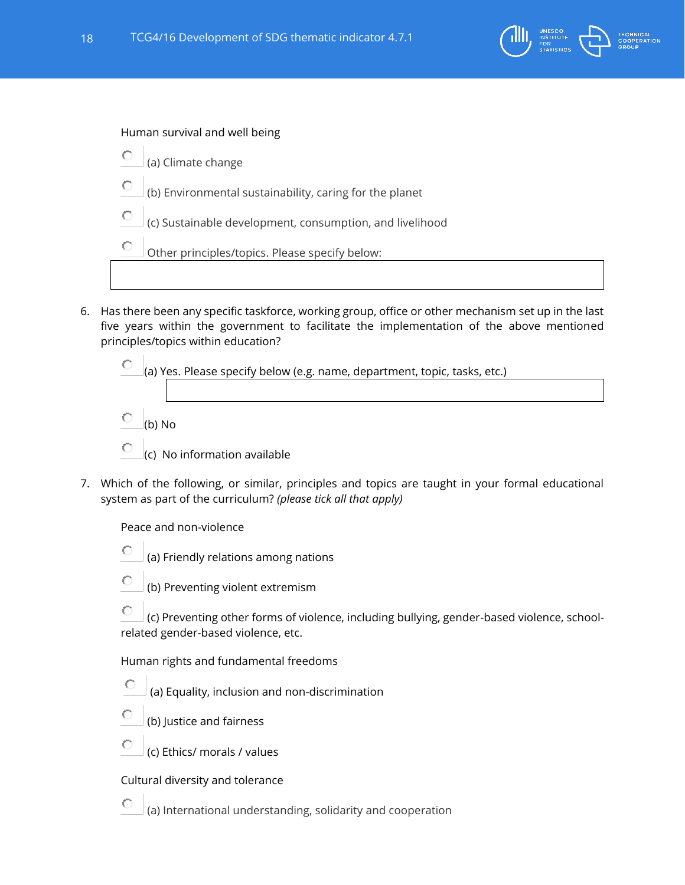

Human survival and well being

- О (a) Climate change
- О (b) Environmental sustainability, caring for the planet
- О (c) Sustainable development, consumption, and livelihood

0 Other principles/topics. Please specify below:

6. Has there been any specific taskforce, working group, office or other mechanism set up in the last five years within the government to facilitate the implementation of the above mentioned principles/topics within education?

О (a) Yes. Please specify below (e.g. name, department, topic, tasks, etc.)

C (b) No

С

О

- О (c) No information available
- 7. Which of the following, or similar, principles and topics are taught in your formal educational system as part of the curriculum? *(please tick all that apply)*

Peace and non-violence

- О (a) Friendly relations among nations
	- (b) Preventing violent extremism

О (c) Preventing other forms of violence, including bullying, gender-based violence, schoolrelated gender-based violence, etc.

Human rights and fundamental freedoms

- О (a) Equality, inclusion and non-discrimination
- О (b) Justice and fairness
- О (c) Ethics/ morals / values

Cultural diversity and tolerance

(a) International understanding, solidarity and cooperation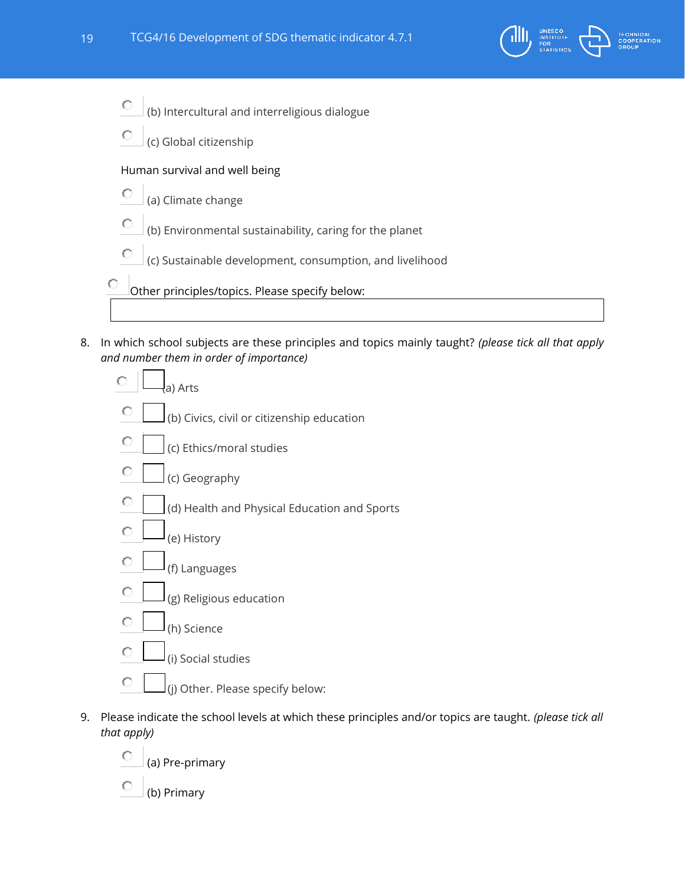

- О (b) Intercultural and interreligious dialogue
- О (c) Global citizenship

## Human survival and well being

- О (a) Climate change
- О (b) Environmental sustainability, caring for the planet
- О (c) Sustainable development, consumption, and livelihood

Other principles/topics. Please specify below:

8. In which school subjects are these principles and topics mainly taught? *(please tick all that apply and number them in order of importance)*



- 9. Please indicate the school levels at which these principles and/or topics are taught. *(please tick all that apply)*
	- О (a) Pre-primary
	- C (b) Primary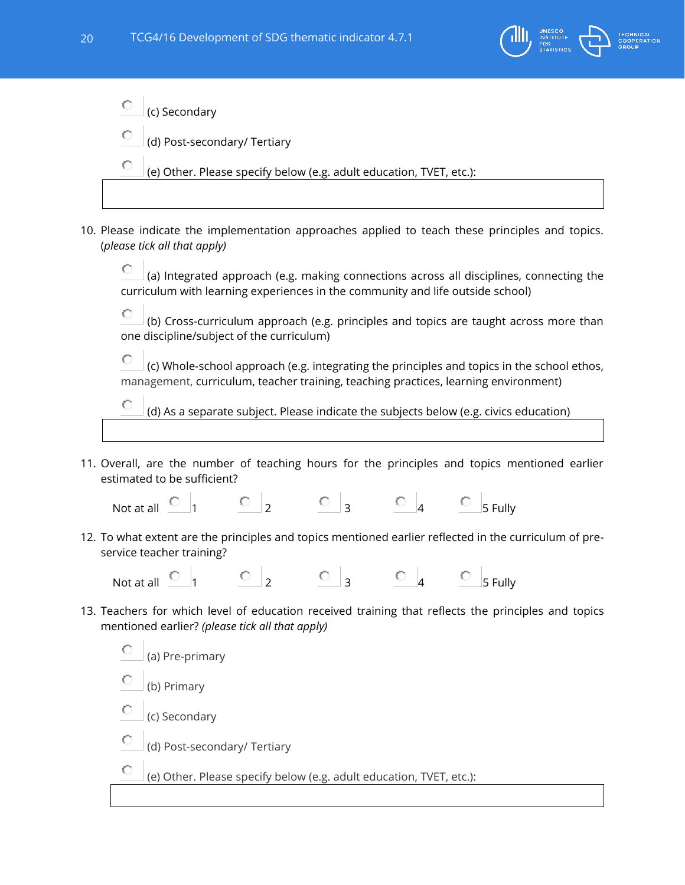

О (c) Secondary

(d) Post-secondary/ Tertiary

O (e) Other. Please specify below (e.g. adult education, TVET, etc.):

10. Please indicate the implementation approaches applied to teach these principles and topics. (*please tick all that apply)*

0. (a) Integrated approach (e.g. making connections across all disciplines, connecting the curriculum with learning experiences in the community and life outside school)

О (b) Cross-curriculum approach (e.g. principles and topics are taught across more than one discipline/subject of the curriculum)

О (c) Whole-school approach (e.g. integrating the principles and topics in the school ethos, management, curriculum, teacher training, teaching practices, learning environment)

O (d) As a separate subject. Please indicate the subjects below (e.g. civics education)

11. Overall, are the number of teaching hours for the principles and topics mentioned earlier estimated to be sufficient?

Not at all  $\begin{array}{ccc} \circ & & \circ & \\ 1 & & \circ & \\ 2 & & \circ & \\ 3 & & \circ & \\ 4 & & \circ & \\ 5 & & \end{array}$ 

12. To what extent are the principles and topics mentioned earlier reflected in the curriculum of preservice teacher training?

Not at all  $\begin{array}{ccc} \circ & \circ & \circ & \circ \\ 1 & \circ & \circ & \circ \end{array}$   $\begin{array}{ccc} \circ & \circ & \circ & \circ \\ \circ & \circ & \circ & \circ \end{array}$ 

13. Teachers for which level of education received training that reflects the principles and topics mentioned earlier? *(please tick all that apply)*

О (a) Pre-primary (b) Primary (c) Secondary О. (d) Post-secondary/ Tertiary (e) Other. Please specify below (e.g. adult education, TVET, etc.):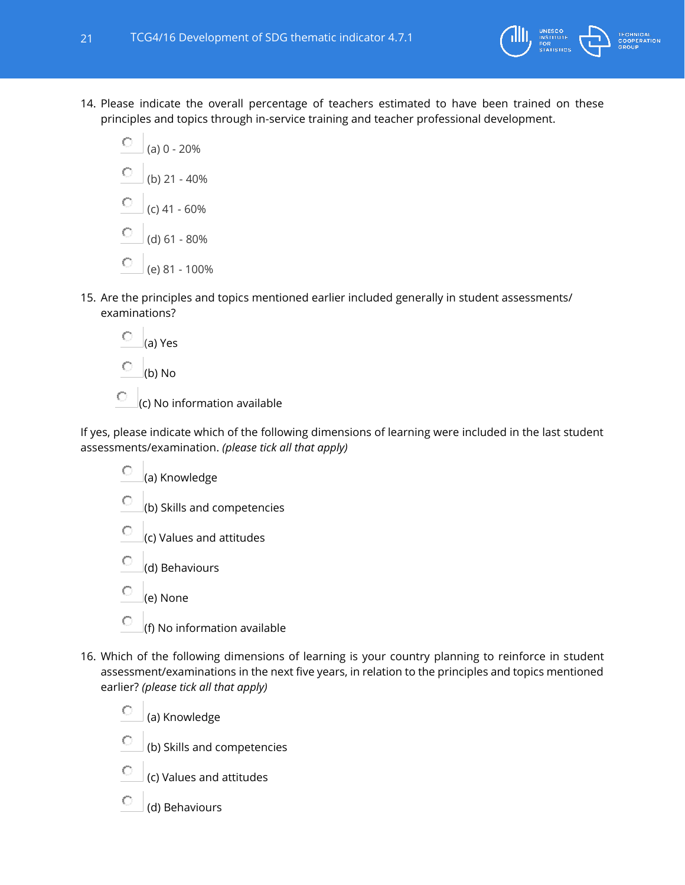

- 14. Please indicate the overall percentage of teachers estimated to have been trained on these principles and topics through in-service training and teacher professional development.
	- О (a) 0 - 20%
	- О (b) 21 - 40%
	- О (c) 41 - 60%
	- О (d) 61 - 80%
	- О (e) 81 - 100%
- 15. Are the principles and topics mentioned earlier included generally in student assessments/ examinations?

О (a) Yes О (b) No

 $\circ$  (c) No information available

If yes, please indicate which of the following dimensions of learning were included in the last student assessments/examination. *(please tick all that apply)*

- $\odot$  (a) Knowledge
- 0 (b) Skills and competencies
- O (c) Values and attitudes
- (d) Behaviours
- O (e) None

0

- (f) No information available
- 16. Which of the following dimensions of learning is your country planning to reinforce in student assessment/examinations in the next five years, in relation to the principles and topics mentioned earlier? *(please tick all that apply)*
	- $\circ$ (a) Knowledge
	- О (b) Skills and competencies
	- О (c) Values and attitudes
	- О (d) Behaviours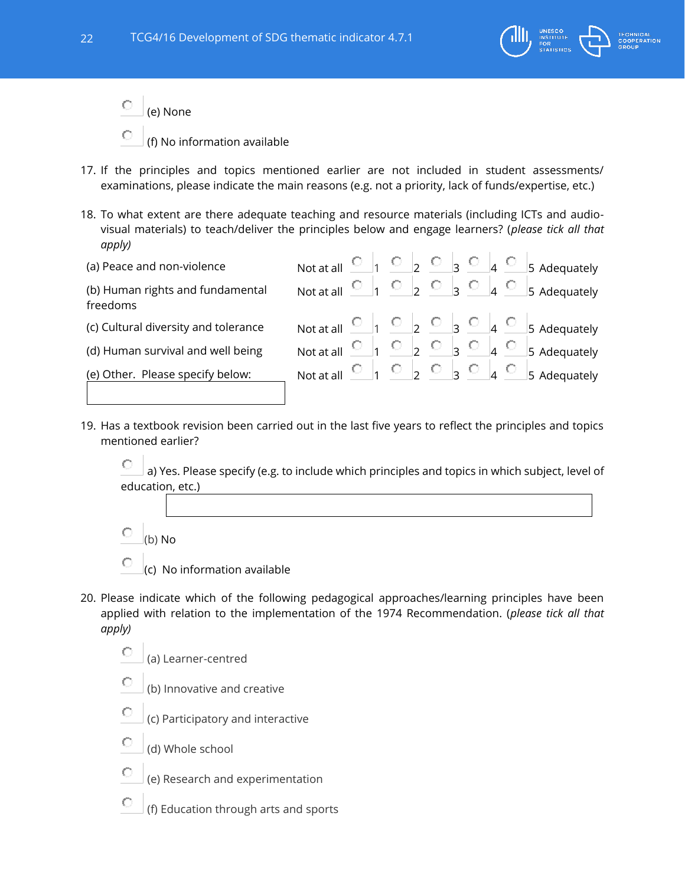

- О (e) None
- (f) No information available
- 17. If the principles and topics mentioned earlier are not included in student assessments/ examinations, please indicate the main reasons (e.g. not a priority, lack of funds/expertise, etc.)
- 18. To what extent are there adequate teaching and resource materials (including ICTs and audiovisual materials) to teach/deliver the principles below and engage learners? (*please tick all that apply)*

| (a) Peace and non-violence                   | Not at all $\begin{array}{ccc} \circ & \circ & \circ & \circ & \circ \circ \\ \circ & \circ & \circ & \circ \end{array}$ |  |  |  |  | 5 Adequately                                                                                                        |
|----------------------------------------------|--------------------------------------------------------------------------------------------------------------------------|--|--|--|--|---------------------------------------------------------------------------------------------------------------------|
| (b) Human rights and fundamental<br>freedoms |                                                                                                                          |  |  |  |  | Not at all $\begin{array}{ccc} \circ & 1 & \circ & 2 & \circ & 3 & \circ & 4 & \circ & 5 \end{array}$ Adequately    |
| (c) Cultural diversity and tolerance         |                                                                                                                          |  |  |  |  | Not at all $\begin{array}{ccc} \circ & _{1} & \circ & _{2} & \circ & _{3} & \circ & _{4} & \circ & _{5}$ Adequately |
| (d) Human survival and well being            |                                                                                                                          |  |  |  |  | Not at all $\begin{array}{ccc} \circ & 1 & \circ & 2 & \circ & 3 & \circ & 4 & \circ & 5 \end{array}$ Adequately    |
| (e) Other. Please specify below:             |                                                                                                                          |  |  |  |  | Not at all $\begin{array}{ccc} \circ & 1 & \circ & 2 & \circ & 3 & \circ & 4 & \circ & 5 \end{array}$ Adequately    |
|                                              |                                                                                                                          |  |  |  |  |                                                                                                                     |

19. Has a textbook revision been carried out in the last five years to reflect the principles and topics mentioned earlier?

O a) Yes. Please specify (e.g. to include which principles and topics in which subject, level of education, etc.)

- О (b) No
- O (c) No information available
- 20. Please indicate which of the following pedagogical approaches/learning principles have been applied with relation to the implementation of the 1974 Recommendation. (*please tick all that apply)*
	- О (a) Learner-centred
	- O (b) Innovative and creative
	- О (c) Participatory and interactive
	- О (d) Whole school
	- C (e) Research and experimentation
	- О (f) Education through arts and sports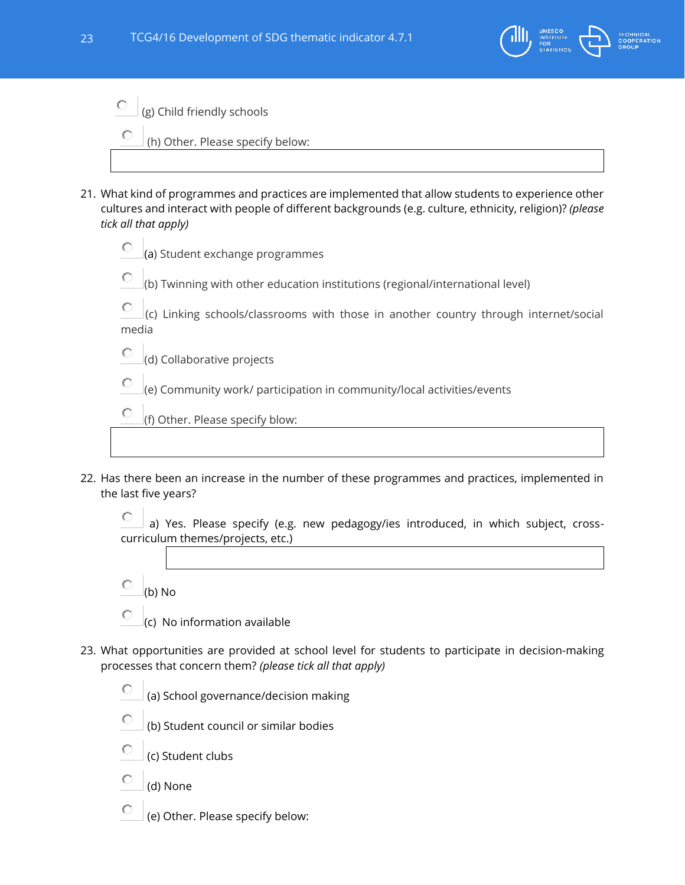

 $\bigcirc$  (g) Child friendly schools

(h) Other. Please specify below:

- 21. What kind of programmes and practices are implemented that allow students to experience other cultures and interact with people of different backgrounds (e.g. culture, ethnicity, religion)? *(please tick all that apply)*
	- О (a) Student exchange programmes
	- (b) Twinning with other education institutions (regional/international level)

O (c) Linking schools/classrooms with those in another country through internet/social media

О (d) Collaborative projects

C (e) Community work/ participation in community/local activities/events

О (f) Other. Please specify blow:

22. Has there been an increase in the number of these programmes and practices, implemented in the last five years?

O a) Yes. Please specify (e.g. new pedagogy/ies introduced, in which subject, crosscurriculum themes/projects, etc.)

- О (b) No
- О (c) No information available
- 23. What opportunities are provided at school level for students to participate in decision-making processes that concern them? *(please tick all that apply)*

О (a) School governance/decision making

- О (b) Student council or similar bodies
- C (c) Student clubs
- (d) None
- О (e) Other. Please specify below: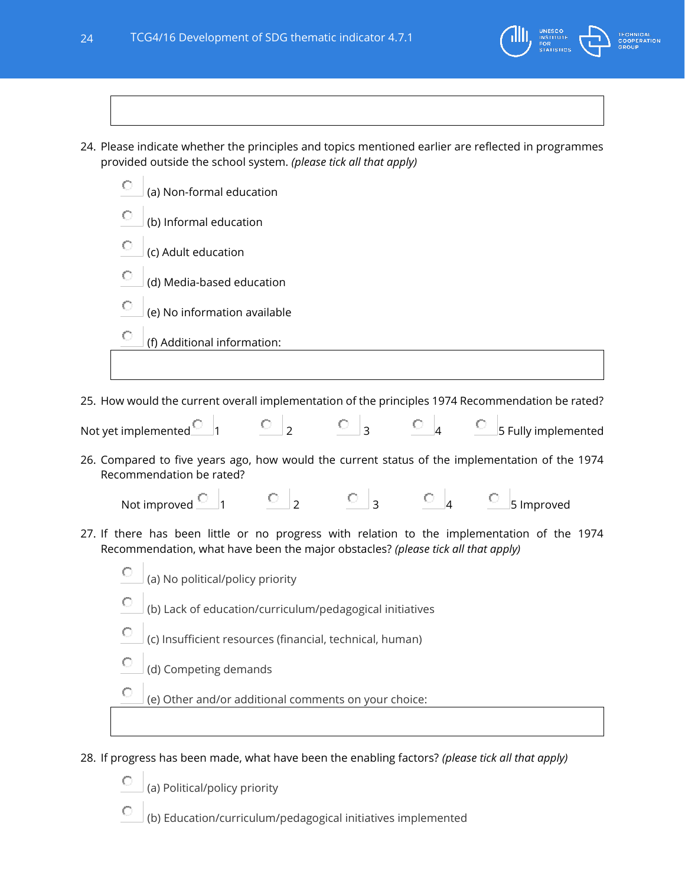

24. Please indicate whether the principles and topics mentioned earlier are reflected in programmes provided outside the school system. *(please tick all that apply)*

|   | (a) Non-formal education     |
|---|------------------------------|
| O | (b) Informal education       |
| o | (c) Adult education          |
| О | (d) Media-based education    |
| О | (e) No information available |
|   | (f) Additional information:  |
|   |                              |

25. How would the current overall implementation of the principles 1974 Recommendation be rated?

| Not yet implemented |  |  | 5 Fully implemented |
|---------------------|--|--|---------------------|

26. Compared to five years ago, how would the current status of the implementation of the 1974 Recommendation be rated?

| Not improved |  |  | 5 Improved |
|--------------|--|--|------------|

27. If there has been little or no progress with relation to the implementation of the 1974 Recommendation, what have been the major obstacles? *(please tick all that apply)*

| Ю |                                  |  |
|---|----------------------------------|--|
|   | (a) No political/policy priority |  |

- О (b) Lack of education/curriculum/pedagogical initiatives
- О (c) Insufficient resources (financial, technical, human)
- C (d) Competing demands

О (e) Other and/or additional comments on your choice:

28. If progress has been made, what have been the enabling factors? *(please tick all that apply)*

О (a) Political/policy priority

О (b) Education/curriculum/pedagogical initiatives implemented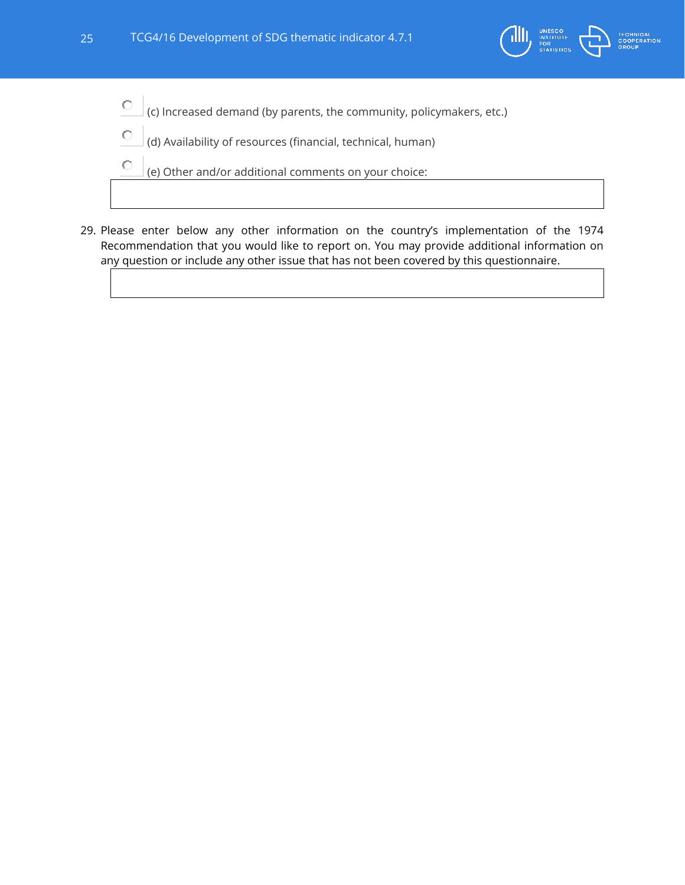

- $\bigcirc$ (c) Increased demand (by parents, the community, policymakers, etc.)
- О (d) Availability of resources (financial, technical, human)
- $\circ$ (e) Other and/or additional comments on your choice:
- 29. Please enter below any other information on the country's implementation of the 1974 Recommendation that you would like to report on. You may provide additional information on any question or include any other issue that has not been covered by this questionnaire.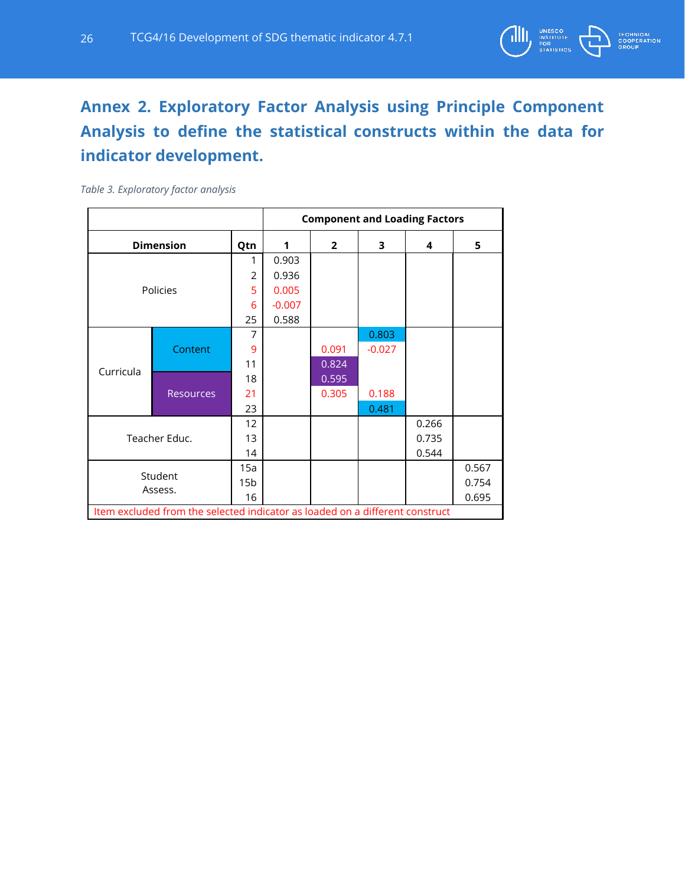

# <span id="page-25-0"></span>**Annex 2. Exploratory Factor Analysis using Principle Component Analysis to define the statistical constructs within the data for indicator development.**

#### *Table 3. Exploratory factor analysis*

|           |                                                                              |                 | <b>Component and Loading Factors</b> |                |          |       |       |  |
|-----------|------------------------------------------------------------------------------|-----------------|--------------------------------------|----------------|----------|-------|-------|--|
|           | <b>Dimension</b>                                                             | Qtn             | 1                                    | $\overline{2}$ | 3        | 4     | 5     |  |
|           |                                                                              | 1               | 0.903                                |                |          |       |       |  |
|           |                                                                              | $\overline{2}$  | 0.936                                |                |          |       |       |  |
|           | Policies                                                                     | 5               | 0.005                                |                |          |       |       |  |
|           |                                                                              | 6               | $-0.007$                             |                |          |       |       |  |
|           |                                                                              | 25              | 0.588                                |                |          |       |       |  |
|           |                                                                              | 7               |                                      |                | 0.803    |       |       |  |
|           | Content                                                                      | 9               |                                      | 0.091          | $-0.027$ |       |       |  |
| Curricula |                                                                              | 11              |                                      | 0.824          |          |       |       |  |
|           |                                                                              | 18              |                                      | 0.595          |          |       |       |  |
|           | <b>Resources</b>                                                             | 21              |                                      | 0.305          | 0.188    |       |       |  |
|           |                                                                              | 23              |                                      |                | 0.481    |       |       |  |
|           |                                                                              | 12              |                                      |                |          | 0.266 |       |  |
|           | Teacher Educ.                                                                | 13              |                                      |                |          | 0.735 |       |  |
|           |                                                                              | 14              |                                      |                |          | 0.544 |       |  |
|           |                                                                              | 15a             |                                      |                |          |       | 0.567 |  |
|           | Student<br>Assess.                                                           | 15 <sub>b</sub> |                                      |                |          |       | 0.754 |  |
|           |                                                                              | 16              |                                      |                |          |       | 0.695 |  |
|           | Item excluded from the selected indicator as loaded on a different construct |                 |                                      |                |          |       |       |  |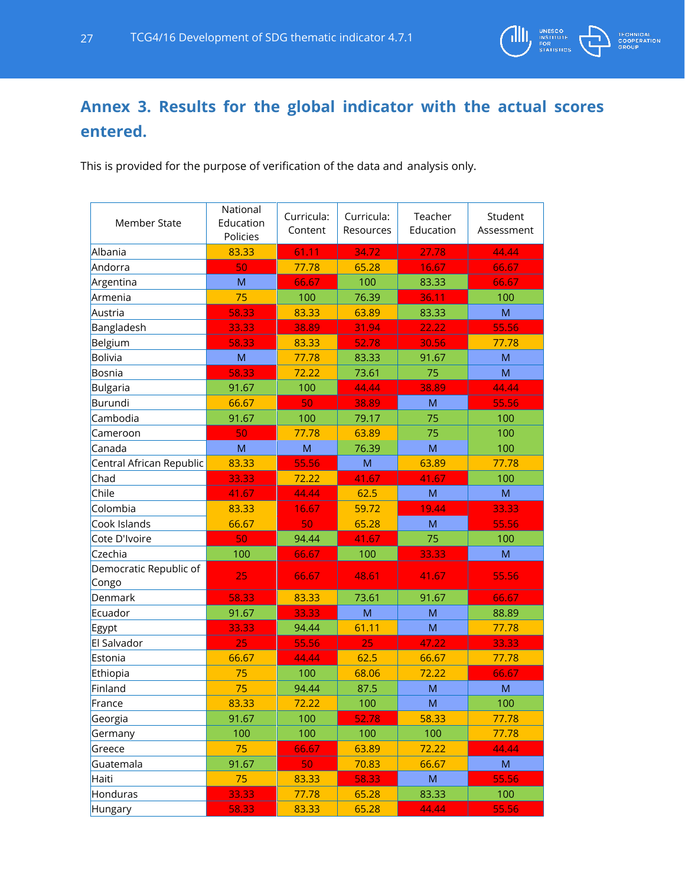

# <span id="page-26-0"></span>**Annex 3. Results for the global indicator with the actual scores entered.**

This is provided for the purpose of verification of the data and analysis only.

| <b>Member State</b>             | National<br>Education<br>Policies | Curricula:<br>Content | Curricula:<br>Resources                                                                                    | Teacher<br>Education | Student<br>Assessment |
|---------------------------------|-----------------------------------|-----------------------|------------------------------------------------------------------------------------------------------------|----------------------|-----------------------|
| Albania                         | 83.33                             | 61.11                 | 34.72                                                                                                      | 27.78                | 44.44                 |
| Andorra                         | 50                                | 77.78                 | 65.28                                                                                                      | 16.67                | 66.67                 |
| Argentina                       | M                                 | 66.67                 | 100                                                                                                        | 83.33                | 66.67                 |
| Armenia                         | 75                                | 100                   | 76.39                                                                                                      | 36.11                | 100                   |
| Austria                         | 58.33                             | 83.33                 | 63.89                                                                                                      | 83.33                | M                     |
| Bangladesh                      | 33.33                             | 38.89                 | 31.94                                                                                                      | 22.22                | 55.56                 |
| Belgium                         | 58.33                             | 83.33                 | 52.78                                                                                                      | 30.56                | 77.78                 |
| <b>Bolivia</b>                  | M                                 | 77.78                 | 83.33                                                                                                      | 91.67                | M                     |
| Bosnia                          | 58.33                             | 72.22                 | 73.61                                                                                                      | 75                   | M                     |
| Bulgaria                        | 91.67                             | 100                   | 44.44                                                                                                      | 38.89                | 44.44                 |
| Burundi                         | 66.67                             | 50                    | 38.89                                                                                                      | M                    | 55.56                 |
| Cambodia                        | 91.67                             | 100                   | 79.17                                                                                                      | 75                   | 100                   |
| Cameroon                        | 50                                | 77.78                 | 63.89                                                                                                      | 75                   | 100                   |
| Canada                          | M                                 | M                     | 76.39                                                                                                      | M                    | 100                   |
| Central African Republic        | 83.33                             | 55.56                 | $\mathsf{M}% _{T}=\mathsf{M}_{T}\!\left( a,b\right) ,\ \mathsf{M}_{T}=\mathsf{M}_{T}\!\left( a,b\right) ,$ | 63.89                | 77.78                 |
| Chad                            | 33.33                             | 72.22                 | 41.67                                                                                                      | 41.67                | 100                   |
| Chile                           | 41.67                             | 44.44                 | 62.5                                                                                                       | M                    | M                     |
| Colombia                        | 83.33                             | 16.67                 | 59.72                                                                                                      | 19.44                | 33.33                 |
| Cook Islands                    | 66.67                             | 50                    | 65.28                                                                                                      | M                    | 55.56                 |
| Cote D'Ivoire                   | 50                                | 94.44                 | 41.67                                                                                                      | 75                   | 100                   |
| Czechia                         | 100                               | 66.67                 | 100                                                                                                        | 33.33                | M                     |
| Democratic Republic of<br>Congo | 25                                | 66.67                 | 48.61                                                                                                      | 41.67                | 55.56                 |
| Denmark                         | 58.33                             | 83.33                 | 73.61                                                                                                      | 91.67                | 66.67                 |
| Ecuador                         | 91.67                             | 33.33                 | M                                                                                                          | M                    | 88.89                 |
| Egypt                           | 33.33                             | 94.44                 | 61.11                                                                                                      | M                    | 77.78                 |
| El Salvador                     | 25                                | 55.56                 | 25                                                                                                         | 47.22                | 33.33                 |
| Estonia                         | 66.67                             | 44.44                 | 62.5                                                                                                       | 66.67                | 77.78                 |
| Ethiopia                        | 75                                | 100                   | 68.06                                                                                                      | 72.22                | 66.67                 |
| Finland                         | 75                                | 94.44                 | 87.5                                                                                                       | M                    | M                     |
| France                          | 83.33                             | 72.22                 | 100                                                                                                        | M                    | 100                   |
| Georgia                         | 91.67                             | 100                   | 52.78                                                                                                      | 58.33                | 77.78                 |
| Germany                         | 100                               | 100                   | 100                                                                                                        | 100                  | 77.78                 |
| Greece                          | 75                                | 66.67                 | 63.89                                                                                                      | 72.22                | 44.44                 |
| Guatemala                       | 91.67                             | 50                    | 70.83                                                                                                      | 66.67                | M                     |
| Haiti                           | 75                                | 83.33                 | 58.33                                                                                                      | M                    | 55.56                 |
| Honduras                        | 33.33                             | 77.78                 | 65.28                                                                                                      | 83.33                | 100                   |
| Hungary                         | 58.33                             | 83.33                 | 65.28                                                                                                      | 44.44                | 55.56                 |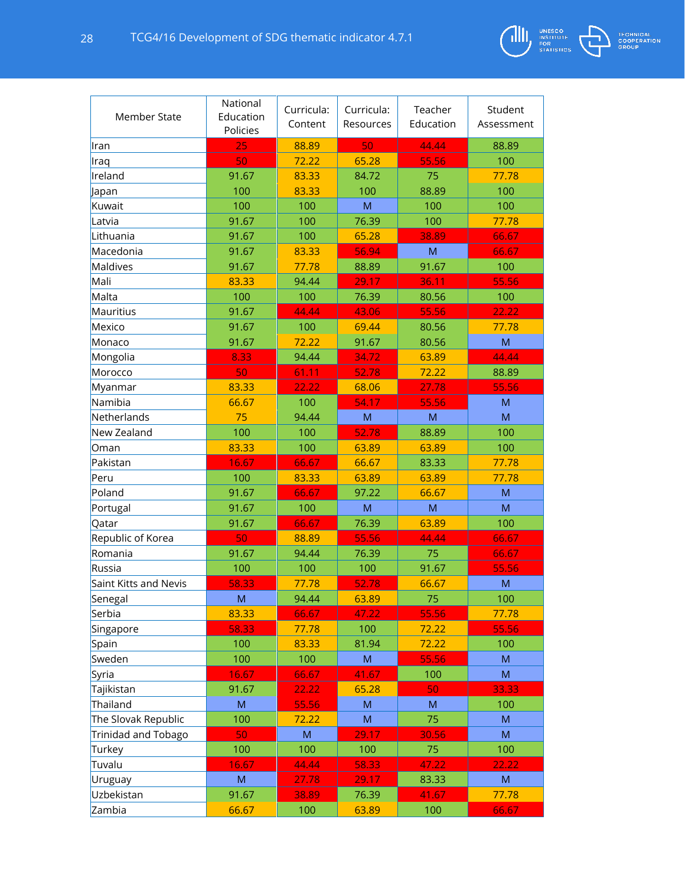

| <b>Member State</b>   | National<br>Education<br>Policies | Curricula:<br>Content | Curricula:<br>Resources                                                                                    | Teacher<br>Education | Student<br>Assessment |
|-----------------------|-----------------------------------|-----------------------|------------------------------------------------------------------------------------------------------------|----------------------|-----------------------|
| lran                  | 25                                | 88.89                 | 50                                                                                                         | 44.44                | 88.89                 |
| Iraq                  | 50                                | 72.22                 | 65.28                                                                                                      | 55.56                | 100                   |
| Ireland               | 91.67                             | 83.33                 | 84.72                                                                                                      | 75                   | 77.78                 |
| Japan                 | 100                               | 83.33                 | 100                                                                                                        | 88.89                | 100                   |
| Kuwait                | 100                               | 100                   | M                                                                                                          | 100                  | 100                   |
| Latvia                | 91.67                             | 100                   | 76.39                                                                                                      | 100                  | 77.78                 |
| Lithuania             | 91.67                             | 100                   | 65.28                                                                                                      | 38.89                | 66.67                 |
| Macedonia             | 91.67                             | 83.33                 | 56.94                                                                                                      | M                    | 66.67                 |
| Maldives              | 91.67                             | 77.78                 | 88.89                                                                                                      | 91.67                | 100                   |
| Mali                  | 83.33                             | 94.44                 | 29.17                                                                                                      | 36.11                | 55.56                 |
| Malta                 | 100                               | 100                   | 76.39                                                                                                      | 80.56                | 100                   |
| Mauritius             | 91.67                             | 44.44                 | 43.06                                                                                                      | 55.56                | 22.22                 |
| Mexico                | 91.67                             | 100                   | 69.44                                                                                                      | 80.56                | 77.78                 |
| Monaco                | 91.67                             | 72.22                 | 91.67                                                                                                      | 80.56                | M                     |
| Mongolia              | 8.33                              | 94.44                 | 34.72                                                                                                      | 63.89                | 44.44                 |
| Morocco               | 50                                | 61.11                 | 52.78                                                                                                      | 72.22                | 88.89                 |
| Myanmar               | 83.33                             | 22.22                 | 68.06                                                                                                      | 27.78                | 55.56                 |
| Namibia               | 66.67                             | 100                   | 54.17                                                                                                      | 55.56                | M                     |
| Netherlands           | 75                                | 94.44                 | M                                                                                                          | ${\sf M}$            | M                     |
| New Zealand           | 100                               | 100                   | 52.78                                                                                                      | 88.89                | 100                   |
| Oman                  | 83.33                             | 100                   | 63.89                                                                                                      | 63.89                | 100                   |
| Pakistan              | 16.67                             | 66.67                 | 66.67                                                                                                      | 83.33                | 77.78                 |
| Peru                  | 100                               | 83.33                 | 63.89                                                                                                      | 63.89                | 77.78                 |
| Poland                | 91.67                             | 66.67                 | 97.22                                                                                                      | 66.67                | M                     |
| Portugal              | 91.67                             | 100                   | M                                                                                                          | M                    | M                     |
| Qatar                 | 91.67                             | 66.67                 | 76.39                                                                                                      | 63.89                | 100                   |
| Republic of Korea     | 50                                | 88.89                 | 55.56                                                                                                      | 44.44                | 66.67                 |
| Romania               | 91.67                             | 94.44                 | 76.39                                                                                                      | 75                   | 66.67                 |
| Russia                | 100                               | 100                   | 100                                                                                                        | 91.67                | 55.56                 |
| Saint Kitts and Nevis | 58.33                             | 77.78                 | 52.78                                                                                                      | 66.67                | M                     |
| Senegal               | M                                 | 94.44                 | 63.89                                                                                                      | 75                   | 100                   |
| Serbia                | 83.33                             | 66.67                 | 47.22                                                                                                      | 55.56                | 77.78                 |
| Singapore             | 58.33                             | 77.78                 | 100                                                                                                        | 72.22                | 55.56                 |
| Spain                 | 100                               | 83.33                 | 81.94                                                                                                      | 72.22                | 100                   |
| Sweden                | 100                               | 100                   | ${\sf M}$                                                                                                  | 55.56                | ${\sf M}$             |
| Syria                 | 16.67                             | 66.67                 | 41.67                                                                                                      | 100                  | ${\sf M}$             |
| Tajikistan            | 91.67                             | 22.22                 | 65.28                                                                                                      | 50                   | 33.33                 |
| Thailand              | M                                 | 55.56                 | $\mathsf{M}% _{T}=\mathsf{M}_{T}\!\left( a,b\right) ,\ \mathsf{M}_{T}=\mathsf{M}_{T}\!\left( a,b\right) ,$ | M                    | 100                   |
| The Slovak Republic   | 100                               | 72.22                 | ${\sf M}$                                                                                                  | 75                   | ${\sf M}$             |
| Trinidad and Tobago   | 50                                | M                     | 29.17                                                                                                      | 30.56                | M                     |
| Turkey                | 100                               | 100                   | 100                                                                                                        | 75                   | 100                   |
| Tuvalu                | 16.67                             | 44.44                 | 58.33                                                                                                      | 47.22                | 22.22                 |
| Uruguay               | ${\sf M}$                         | 27.78                 | 29.17                                                                                                      | 83.33                | ${\sf M}$             |
| Uzbekistan            | 91.67                             | 38.89                 | 76.39                                                                                                      | 41.67                | 77.78                 |
| Zambia                | 66.67                             | 100                   | 63.89                                                                                                      | 100                  | 66.67                 |